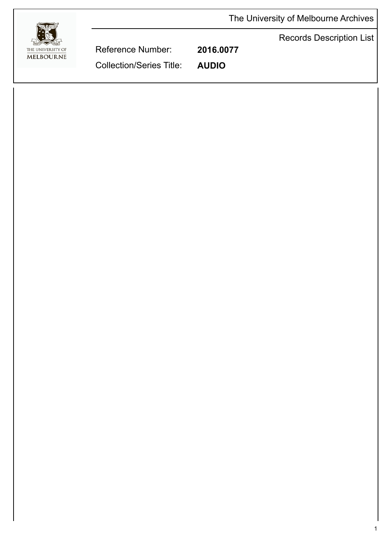The University of Melbourne Archives





Reference Number: **2016.0077** Collection/Series Title: **AUDIO**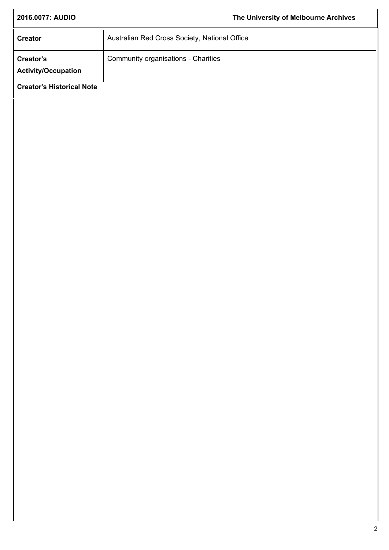| 2016.0077: AUDIO                               |                                               | The University of Melbourne Archives |
|------------------------------------------------|-----------------------------------------------|--------------------------------------|
| <b>Creator</b>                                 | Australian Red Cross Society, National Office |                                      |
| <b>Creator's</b><br><b>Activity/Occupation</b> | Community organisations - Charities           |                                      |
| <b>Creator's Historical Note</b>               |                                               |                                      |
|                                                |                                               |                                      |
|                                                |                                               |                                      |
|                                                |                                               |                                      |
|                                                |                                               |                                      |
|                                                |                                               |                                      |
|                                                |                                               |                                      |
|                                                |                                               |                                      |
|                                                |                                               |                                      |
|                                                |                                               |                                      |
|                                                |                                               |                                      |
|                                                |                                               |                                      |
|                                                |                                               |                                      |
|                                                |                                               |                                      |
|                                                |                                               |                                      |
|                                                |                                               |                                      |
|                                                |                                               |                                      |
|                                                |                                               |                                      |
|                                                |                                               |                                      |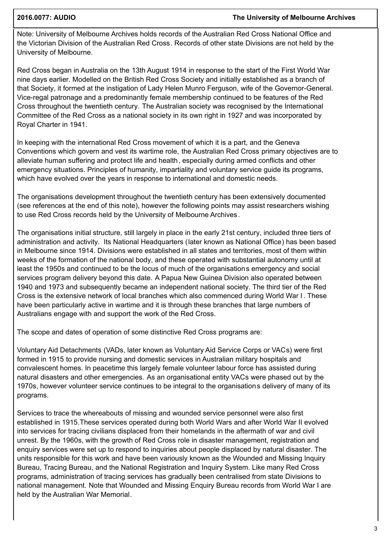### **2016.0077: AUDIO The University of Melbourne Archives**

Note: University of Melbourne Archives holds records of the Australian Red Cross National Office and the Victorian Division of the Australian Red Cross. Records of other state Divisions are not held by the University of Melbourne.

Red Cross began in Australia on the 13th August 1914 in response to the start of the First World War nine days earlier. Modelled on the British Red Cross Society and initially established as a branch of that Society, it formed at the instigation of Lady Helen Munro Ferguson, wife of the Governor-General. Vice-regal patronage and a predominantly female membership continued to be features of the Red Cross throughout the twentieth century. The Australian society was recognised by the International Committee of the Red Cross as a national society in its own right in 1927 and was incorporated by Royal Charter in 1941.

In keeping with the international Red Cross movement of which it is a part, and the Geneva Conventions which govern and vest its wartime role, the Australian Red Cross primary objectives are to alleviate human suffering and protect life and health, especially during armed conflicts and other emergency situations. Principles of humanity, impartiality and voluntary service guide its programs, which have evolved over the years in response to international and domestic needs.

The organisations development throughout the twentieth century has been extensively documented (see references at the end of this note), however the following points may assist researchers wishing to use Red Cross records held by the University of Melbourne Archives.

The organisations initial structure, still largely in place in the early 21st century, included three tiers of administration and activity. Its National Headquarters (later known as National Office) has been based in Melbourne since 1914. Divisions were established in all states and territories, most of them within weeks of the formation of the national body, and these operated with substantial autonomy until at least the 1950s and continued to be the locus of much of the organisations emergency and social services program delivery beyond this date. A Papua New Guinea Division also operated between 1940 and 1973 and subsequently became an independent national society. The third tier of the Red Cross is the extensive network of local branches which also commenced during World War I . These have been particularly active in wartime and it is through these branches that large numbers of Australians engage with and support the work of the Red Cross.

The scope and dates of operation of some distinctive Red Cross programs are:

Voluntary Aid Detachments (VADs, later known as Voluntary Aid Service Corps or VACs) were first formed in 1915 to provide nursing and domestic services in Australian military hospitals and convalescent homes. In peacetime this largely female volunteer labour force has assisted during natural disasters and other emergencies. As an organisational entity VACs were phased out by the 1970s, however volunteer service continues to be integral to the organisations delivery of many of its programs.

Services to trace the whereabouts of missing and wounded service personnel were also first established in 1915.These services operated during both World Wars and after World War II evolved into services for tracing civilians displaced from their homelands in the aftermath of war and civil unrest. By the 1960s, with the growth of Red Cross role in disaster management, registration and enquiry services were set up to respond to inquiries about people displaced by natural disaster. The units responsible for this work and have been variously known as the Wounded and Missing Inquiry Bureau, Tracing Bureau, and the National Registration and Inquiry System. Like many Red Cross programs, administration of tracing services has gradually been centralised from state Divisions to national management. Note that Wounded and Missing Enquiry Bureau records from World War I are held by the Australian War Memorial.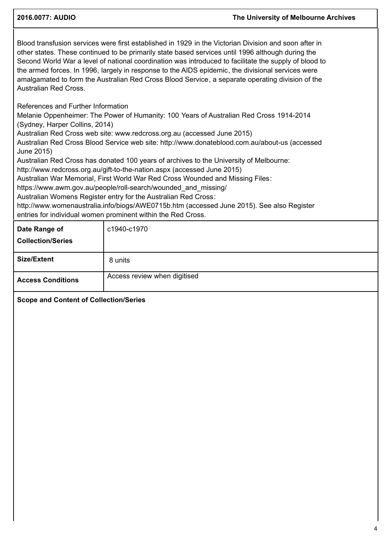### **2016.0077: AUDIO The University of Melbourne Archives**

Blood transfusion services were first established in 1929 in the Victorian Division and soon after in other states. These continued to be primarily state based services until 1996 although during the Second World War a level of national coordination was introduced to facilitate the supply of blood to the armed forces. In 1996, largely in response to the AIDS epidemic, the divisional services were amalgamated to form the Australian Red Cross Blood Service, a separate operating division of the Australian Red Cross.

References and Further Information

Melanie Oppenheimer: The Power of Humanity: 100 Years of Australian Red Cross 1914-2014 (Sydney, Harper Collins, 2014)

Australian Red Cross web site: www.redcross.org.au (accessed June 2015)

Australian Red Cross Blood Service web site: http://www.donateblood.com.au/about-us (accessed June 2015)

Australian Red Cross has donated 100 years of archives to the University of Melbourne:

http://www.redcross.org.au/gift-to-the-nation.aspx (accessed June 2015)

Australian War Memorial, First World War Red Cross Wounded and Missing Files:

https://www.awm.gov.au/people/roll-search/wounded\_and\_missing/

Australian Womens Register entry for the Australian Red Cross:

http://www.womenaustralia.info/biogs/AWE0715b.htm (accessed June 2015). See also Register entries for individual women prominent within the Red Cross.

| Date Range of<br><b>Collection/Series</b> | c1940-c1970                  |
|-------------------------------------------|------------------------------|
| <b>Size/Extent</b>                        | 8 units                      |
| <b>Access Conditions</b>                  | Access review when digitised |

**Scope and Content of Collection/Series**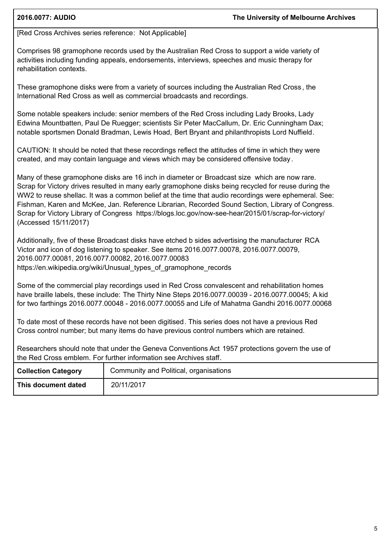## [Red Cross Archives series reference: Not Applicable]

Comprises 98 gramophone records used by the Australian Red Cross to support a wide variety of activities including funding appeals, endorsements, interviews, speeches and music therapy for rehabilitation contexts.

These gramophone disks were from a variety of sources including the Australian Red Cross , the International Red Cross as well as commercial broadcasts and recordings.

Some notable speakers include: senior members of the Red Cross including Lady Brooks, Lady Edwina Mountbatten, Paul De Ruegger; scientists Sir Peter MacCallum, Dr. Eric Cunningham Dax; notable sportsmen Donald Bradman, Lewis Hoad, Bert Bryant and philanthropists Lord Nuffield.

CAUTION: It should be noted that these recordings reflect the attitudes of time in which they were created, and may contain language and views which may be considered offensive today .

Many of these gramophone disks are 16 inch in diameter or Broadcast size which are now rare. Scrap for Victory drives resulted in many early gramophone disks being recycled for reuse during the WW2 to reuse shellac. It was a common belief at the time that audio recordings were ephemeral. See: Fishman, Karen and McKee, Jan. Reference Librarian, Recorded Sound Section, Library of Congress. Scrap for Victory Library of Congress https://blogs.loc.gov/now-see-hear/2015/01/scrap-for-victory/ (Accessed 15/11/2017)

Additionally, five of these Broadcast disks have etched b sides advertising the manufacturer RCA Victorand icon of dog listening to speaker. See items 2016.0077.00078, 2016.0077.00079, 2016.0077.00081, 2016.0077.00082, 2016.0077.00083 https://en.wikipedia.org/wiki/Unusual\_types\_of\_gramophone\_records

Some of the commercial play recordings used in Red Cross convalescent and rehabilitation homes have braille labels, these include: The Thirty Nine Steps 2016.0077.00039 - 2016.0077.00045; A kid for two farthings 2016.0077.00048 - 2016.0077.00055 and Life of Mahatma Gandhi 2016.0077.00068

To date most of these records have not been digitised. This series does not have a previous Red Cross control number; but many items do have previous control numbers which are retained.

Researchers should note that under the Geneva Conventions Act 1957 protections govern the use of the Red Cross emblem. For further information see Archives staff.

| <b>Collection Category</b> | Community and Political, organisations |
|----------------------------|----------------------------------------|
| This document dated        | 20/11/2017                             |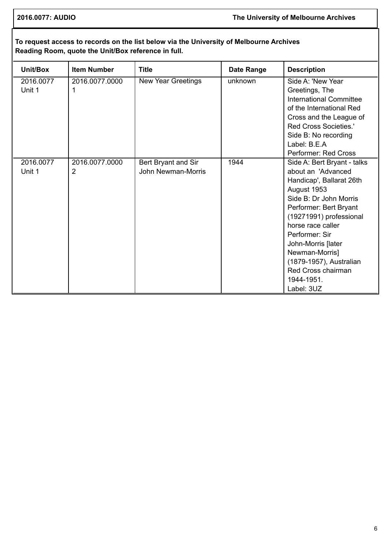# **To request access to records on the list below via the University of Melbourne Archives Reading Room, quote the Unit/Box reference in full.**

| Unit/Box            | <b>Item Number</b>               | <b>Title</b>                              | <b>Date Range</b> | <b>Description</b>                                                                                                                                                                                                                                                                                                                      |
|---------------------|----------------------------------|-------------------------------------------|-------------------|-----------------------------------------------------------------------------------------------------------------------------------------------------------------------------------------------------------------------------------------------------------------------------------------------------------------------------------------|
| 2016.0077<br>Unit 1 | 2016.0077.0000<br>1              | New Year Greetings                        | unknown           | Side A: 'New Year<br>Greetings, The<br><b>International Committee</b><br>of the International Red<br>Cross and the League of<br>Red Cross Societies.'<br>Side B: No recording<br>Label: B.E.A                                                                                                                                           |
|                     |                                  |                                           |                   | Performer: Red Cross                                                                                                                                                                                                                                                                                                                    |
| 2016.0077<br>Unit 1 | 2016.0077.0000<br>$\overline{2}$ | Bert Bryant and Sir<br>John Newman-Morris | 1944              | Side A: Bert Bryant - talks<br>about an 'Advanced<br>Handicap', Ballarat 26th<br>August 1953<br>Side B: Dr John Morris<br>Performer: Bert Bryant<br>(19271991) professional<br>horse race caller<br>Performer: Sir<br>John-Morris [later<br>Newman-Morris]<br>(1879-1957), Australian<br>Red Cross chairman<br>1944-1951.<br>Label: 3UZ |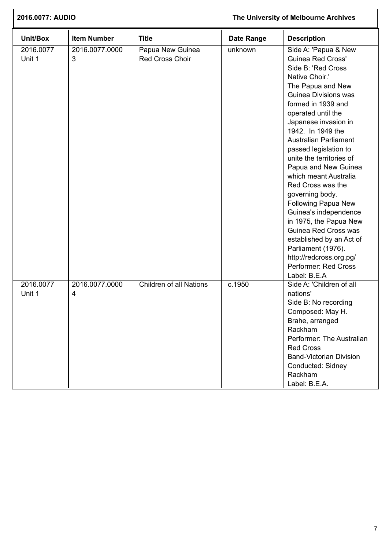| 2016.0077: AUDIO    |                     |                                            | The University of Melbourne Archives |                                                                                                                                                                                                                                                                                                                                                                                                                                                                                                                                                                                                                                     |
|---------------------|---------------------|--------------------------------------------|--------------------------------------|-------------------------------------------------------------------------------------------------------------------------------------------------------------------------------------------------------------------------------------------------------------------------------------------------------------------------------------------------------------------------------------------------------------------------------------------------------------------------------------------------------------------------------------------------------------------------------------------------------------------------------------|
| Unit/Box            | <b>Item Number</b>  | <b>Title</b>                               | <b>Date Range</b>                    | <b>Description</b>                                                                                                                                                                                                                                                                                                                                                                                                                                                                                                                                                                                                                  |
| 2016.0077<br>Unit 1 | 2016.0077.0000<br>3 | Papua New Guinea<br><b>Red Cross Choir</b> | unknown                              | Side A: 'Papua & New<br><b>Guinea Red Cross'</b><br>Side B: 'Red Cross<br>Native Choir.'<br>The Papua and New<br>Guinea Divisions was<br>formed in 1939 and<br>operated until the<br>Japanese invasion in<br>1942. In 1949 the<br><b>Australian Parliament</b><br>passed legislation to<br>unite the territories of<br>Papua and New Guinea<br>which meant Australia<br>Red Cross was the<br>governing body.<br>Following Papua New<br>Guinea's independence<br>in 1975, the Papua New<br>Guinea Red Cross was<br>established by an Act of<br>Parliament (1976).<br>http://redcross.org.pg/<br>Performer: Red Cross<br>Label: B.E.A |
| 2016.0077<br>Unit 1 | 2016.0077.0000<br>4 | <b>Children of all Nations</b>             | c.1950                               | Side A: 'Children of all<br>nations'<br>Side B: No recording<br>Composed: May H.<br>Brahe, arranged<br>Rackham<br>Performer: The Australian<br><b>Red Cross</b><br><b>Band-Victorian Division</b><br>Conducted: Sidney<br>Rackham<br>Label: B.E.A.                                                                                                                                                                                                                                                                                                                                                                                  |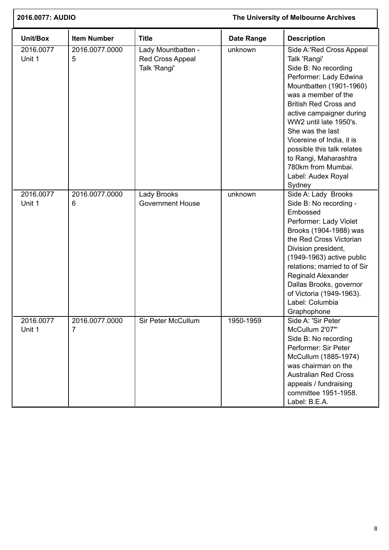| 2016.0077: AUDIO    |                     |                                                               |            | The University of Melbourne Archives                                                                                                                                                                                                                                                                                                                                                             |
|---------------------|---------------------|---------------------------------------------------------------|------------|--------------------------------------------------------------------------------------------------------------------------------------------------------------------------------------------------------------------------------------------------------------------------------------------------------------------------------------------------------------------------------------------------|
| Unit/Box            | <b>Item Number</b>  | <b>Title</b>                                                  | Date Range | <b>Description</b>                                                                                                                                                                                                                                                                                                                                                                               |
| 2016.0077<br>Unit 1 | 2016.0077.0000<br>5 | Lady Mountbatten -<br><b>Red Cross Appeal</b><br>Talk 'Rangi' | unknown    | Side A:'Red Cross Appeal<br>Talk 'Rangi'<br>Side B: No recording<br>Performer: Lady Edwina<br>Mountbatten (1901-1960)<br>was a member of the<br><b>British Red Cross and</b><br>active campaigner during<br>WW2 until late 1950's.<br>She was the last<br>Vicereine of India, it is<br>possible this talk relates<br>to Rangi, Maharashtra<br>780km from Mumbai.<br>Label: Audex Royal<br>Sydney |
| 2016.0077<br>Unit 1 | 2016.0077.0000<br>6 | <b>Lady Brooks</b><br><b>Government House</b>                 | unknown    | Side A: Lady Brooks<br>Side B: No recording -<br>Embossed<br>Performer: Lady Violet<br>Brooks (1904-1988) was<br>the Red Cross Victorian<br>Division president,<br>(1949-1963) active public<br>relations; married to of Sir<br><b>Reginald Alexander</b><br>Dallas Brooks, governor<br>of Victoria (1949-1963).<br>Label: Columbia<br>Graphophone                                               |
| 2016.0077<br>Unit 1 | 2016.0077.0000<br>7 | Sir Peter McCullum                                            | 1950-1959  | Side A: 'Sir Peter<br>McCullum 2'07"<br>Side B: No recording<br>Performer: Sir Peter<br>McCullum (1885-1974)<br>was chairman on the<br><b>Australian Red Cross</b><br>appeals / fundraising<br>committee 1951-1958.<br>Label: B.E.A.                                                                                                                                                             |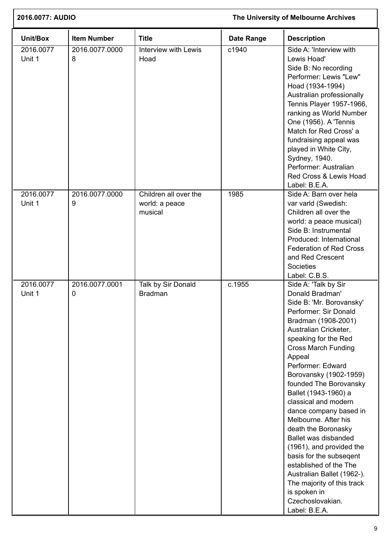| The University of Melbourne Archives<br>2016.0077: AUDIO |                               |                                                    |                   |                                                                                                                                                                                                                                                                                                                                                                                                                                                                                                                                                                                                                                          |
|----------------------------------------------------------|-------------------------------|----------------------------------------------------|-------------------|------------------------------------------------------------------------------------------------------------------------------------------------------------------------------------------------------------------------------------------------------------------------------------------------------------------------------------------------------------------------------------------------------------------------------------------------------------------------------------------------------------------------------------------------------------------------------------------------------------------------------------------|
| Unit/Box                                                 | <b>Item Number</b>            | <b>Title</b>                                       | <b>Date Range</b> | <b>Description</b>                                                                                                                                                                                                                                                                                                                                                                                                                                                                                                                                                                                                                       |
| 2016.0077<br>Unit 1                                      | 2016.0077.0000<br>8           | <b>Interview with Lewis</b><br>Hoad                | c1940             | Side A: 'Interview with<br>Lewis Hoad'<br>Side B: No recording<br>Performer: Lewis "Lew"<br>Hoad (1934-1994)<br>Australian professionally<br>Tennis Player 1957-1966,<br>ranking as World Number<br>One (1956). A 'Tennis<br>Match for Red Cross' a<br>fundraising appeal was<br>played in White City,<br>Sydney, 1940.<br>Performer: Australian<br>Red Cross & Lewis Hoad<br>Label: B.E.A.                                                                                                                                                                                                                                              |
| 2016.0077<br>Unit 1                                      | 2016.0077.0000<br>9           | Children all over the<br>world: a peace<br>musical | 1985              | Side A: Barn over hela<br>var varld (Swedish:<br>Children all over the<br>world: a peace musical)<br>Side B: Instrumental<br>Produced: International<br><b>Federation of Red Cross</b><br>and Red Crescent<br><b>Societies</b><br>Label: C.B.S.                                                                                                                                                                                                                                                                                                                                                                                          |
| 2016.0077<br>Unit 1                                      | 2016.0077.0001<br>$\mathbf 0$ | Talk by Sir Donald<br><b>Bradman</b>               | c.1955            | Side A: 'Talk by Sir<br>Donald Bradman'<br>Side B: 'Mr. Borovansky'<br>Performer: Sir Donald<br>Bradman (1908-2001)<br>Australian Cricketer,<br>speaking for the Red<br><b>Cross March Funding</b><br>Appeal<br>Performer: Edward<br>Borovansky (1902-1959)<br>founded The Borovansky<br>Ballet (1943-1960) a<br>classical and modern<br>dance company based in<br>Melbourne. After his<br>death the Boronasky<br>Ballet was disbanded<br>(1961), and provided the<br>basis for the subsegent<br>established of the The<br>Australian Ballet (1962-).<br>The majority of this track<br>is spoken in<br>Czechoslovakian.<br>Label: B.E.A. |

ſ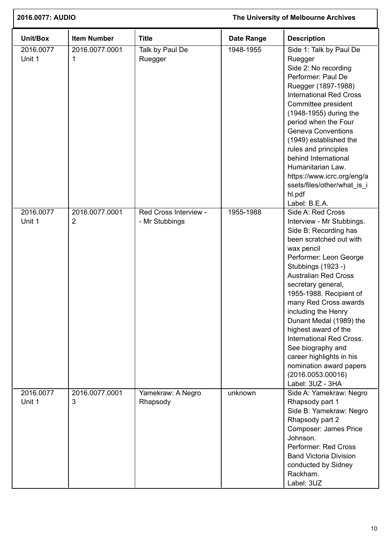| 2016.0077: AUDIO<br>The University of Melbourne Archives |                                  |                                         |                   |                                                                                                                                                                                                                                                                                                                                                                                                                                                                                                      |
|----------------------------------------------------------|----------------------------------|-----------------------------------------|-------------------|------------------------------------------------------------------------------------------------------------------------------------------------------------------------------------------------------------------------------------------------------------------------------------------------------------------------------------------------------------------------------------------------------------------------------------------------------------------------------------------------------|
| Unit/Box                                                 | <b>Item Number</b>               | <b>Title</b>                            | <b>Date Range</b> | <b>Description</b>                                                                                                                                                                                                                                                                                                                                                                                                                                                                                   |
| 2016.0077<br>Unit 1                                      | 2016.0077.0001<br>1              | Talk by Paul De<br>Ruegger              | 1948-1955         | Side 1: Talk by Paul De<br>Ruegger<br>Side 2: No recording<br>Performer: Paul De<br>Ruegger (1897-1988)<br><b>International Red Cross</b><br>Committee president<br>(1948-1955) during the<br>period when the Four<br><b>Geneva Conventions</b><br>(1949) established the<br>rules and principles<br>behind International<br>Humanitarian Law.<br>https://www.icrc.org/eng/a<br>ssets/files/other/what_is_i<br>hl.pdf<br>Label: B.E.A.                                                               |
| 2016.0077<br>Unit 1                                      | 2016.0077.0001<br>$\overline{2}$ | Red Cross Interview -<br>- Mr Stubbings | 1955-1988         | Side A: Red Cross<br>Interview - Mr Stubbings.<br>Side B: Recording has<br>been scratched out with<br>wax pencil<br>Performer: Leon George<br>Stubbings (1923 -)<br><b>Australian Red Cross</b><br>secretary general,<br>1955-1988. Recipient of<br>many Red Cross awards<br>including the Henry<br>Dunant Medal (1989) the<br>highest award of the<br>International Red Cross.<br>See biography and<br>career highlights in his<br>nomination award papers<br>(2016.0053.00016)<br>Label: 3UZ - 3HA |
| 2016.0077<br>Unit 1                                      | 2016.0077.0001<br>3              | Yamekraw: A Negro<br>Rhapsody           | unknown           | Side A: Yamekraw: Negro<br>Rhapsody part 1<br>Side B: Yamekraw: Negro<br>Rhapsody part 2<br>Composer: James Price<br>Johnson.<br>Performer: Red Cross<br><b>Band Victoria Division</b><br>conducted by Sidney<br>Rackham.<br>Label: 3UZ                                                                                                                                                                                                                                                              |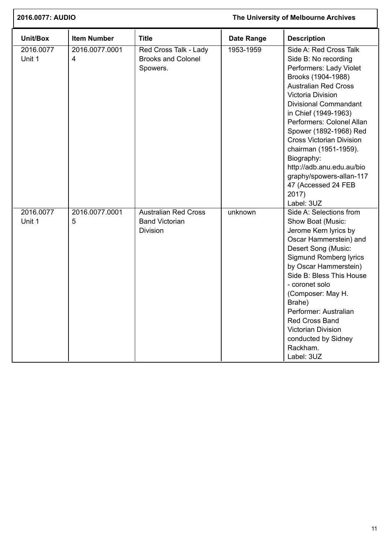| 2016.0077: AUDIO    |                     | The University of Melbourne Archives                                    |                   |                                                                                                                                                                                                                                                                                                                                                                                                                                                     |
|---------------------|---------------------|-------------------------------------------------------------------------|-------------------|-----------------------------------------------------------------------------------------------------------------------------------------------------------------------------------------------------------------------------------------------------------------------------------------------------------------------------------------------------------------------------------------------------------------------------------------------------|
| Unit/Box            | <b>Item Number</b>  | <b>Title</b>                                                            | <b>Date Range</b> | <b>Description</b>                                                                                                                                                                                                                                                                                                                                                                                                                                  |
| 2016.0077<br>Unit 1 | 2016.0077.0001<br>4 | Red Cross Talk - Lady<br><b>Brooks and Colonel</b><br>Spowers.          | 1953-1959         | Side A: Red Cross Talk<br>Side B: No recording<br>Performers: Lady Violet<br>Brooks (1904-1988)<br><b>Australian Red Cross</b><br>Victoria Division<br><b>Divisional Commandant</b><br>in Chief (1949-1963)<br>Performers: Colonel Allan<br>Spower (1892-1968) Red<br><b>Cross Victorian Division</b><br>chairman (1951-1959).<br>Biography:<br>http://adb.anu.edu.au/bio<br>graphy/spowers-allan-117<br>47 (Accessed 24 FEB<br>2017)<br>Label: 3UZ |
| 2016.0077<br>Unit 1 | 2016.0077.0001<br>5 | <b>Australian Red Cross</b><br><b>Band Victorian</b><br><b>Division</b> | unknown           | Side A: Selections from<br>Show Boat (Music:<br>Jerome Kern lyrics by<br>Oscar Hammerstein) and<br>Desert Song (Music:<br><b>Sigmund Romberg lyrics</b><br>by Oscar Hammerstein)<br>Side B: Bless This House<br>- coronet solo<br>(Composer: May H.<br>Brahe)<br>Performer: Australian<br><b>Red Cross Band</b><br>Victorian Division<br>conducted by Sidney<br>Rackham.<br>Label: 3UZ                                                              |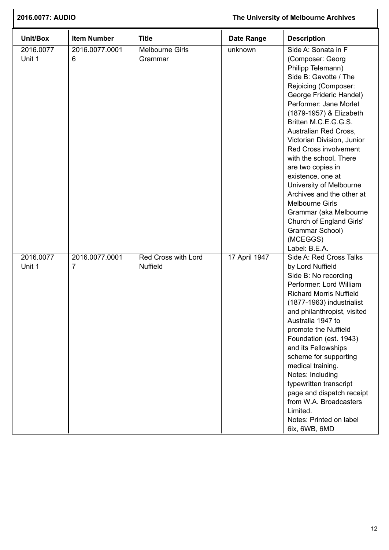| 2016.0077: AUDIO    |                     |                                        | The University of Melbourne Archives |                                                                                                                                                                                                                                                                                                                                                                                                                                                                                                                                                                   |  |
|---------------------|---------------------|----------------------------------------|--------------------------------------|-------------------------------------------------------------------------------------------------------------------------------------------------------------------------------------------------------------------------------------------------------------------------------------------------------------------------------------------------------------------------------------------------------------------------------------------------------------------------------------------------------------------------------------------------------------------|--|
| Unit/Box            | <b>Item Number</b>  | <b>Title</b>                           | <b>Date Range</b>                    | <b>Description</b>                                                                                                                                                                                                                                                                                                                                                                                                                                                                                                                                                |  |
| 2016.0077<br>Unit 1 | 2016.0077.0001<br>6 | <b>Melbourne Girls</b><br>Grammar      | unknown                              | Side A: Sonata in F<br>(Composer: Georg<br>Philipp Telemann)<br>Side B: Gavotte / The<br>Rejoicing (Composer:<br>George Frideric Handel)<br>Performer: Jane Morlet<br>(1879-1957) & Elizabeth<br>Britten M.C.E.G.G.S.<br>Australian Red Cross,<br>Victorian Division, Junior<br>Red Cross involvement<br>with the school. There<br>are two copies in<br>existence, one at<br>University of Melbourne<br>Archives and the other at<br><b>Melbourne Girls</b><br>Grammar (aka Melbourne<br>Church of England Girls'<br>Grammar School)<br>(MCEGGS)<br>Label: B.E.A. |  |
| 2016.0077<br>Unit 1 | 2016.0077.0001<br>7 | Red Cross with Lord<br><b>Nuffield</b> | 17 April 1947                        | Side A: Red Cross Talks<br>by Lord Nuffield<br>Side B: No recording<br>Performer: Lord William<br><b>Richard Morris Nuffield</b><br>(1877-1963) industrialist<br>and philanthropist, visited<br>Australia 1947 to<br>promote the Nuffield<br>Foundation (est. 1943)<br>and its Fellowships<br>scheme for supporting<br>medical training.<br>Notes: Including<br>typewritten transcript<br>page and dispatch receipt<br>from W.A. Broadcasters<br>Limited.<br>Notes: Printed on label<br>6ix, 6WB, 6MD                                                             |  |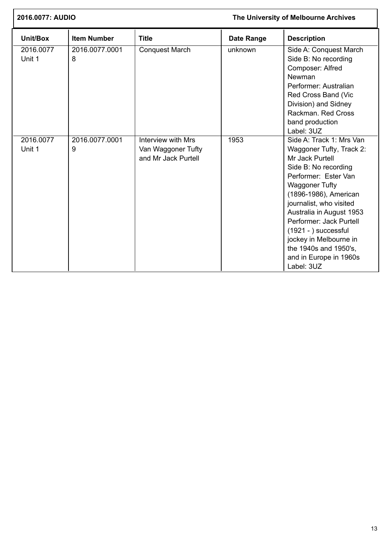| 2016.0077: AUDIO    |                     |                                                                 |                   | The University of Melbourne Archives                                                                                                                                                                                                                                                                                                                                             |
|---------------------|---------------------|-----------------------------------------------------------------|-------------------|----------------------------------------------------------------------------------------------------------------------------------------------------------------------------------------------------------------------------------------------------------------------------------------------------------------------------------------------------------------------------------|
| Unit/Box            | <b>Item Number</b>  | <b>Title</b>                                                    | <b>Date Range</b> | <b>Description</b>                                                                                                                                                                                                                                                                                                                                                               |
| 2016.0077<br>Unit 1 | 2016.0077.0001<br>8 | <b>Conquest March</b>                                           | unknown           | Side A: Conquest March<br>Side B: No recording<br>Composer: Alfred<br>Newman<br>Performer: Australian<br>Red Cross Band (Vic<br>Division) and Sidney<br>Rackman, Red Cross<br>band production<br>Label: 3UZ                                                                                                                                                                      |
| 2016.0077<br>Unit 1 | 2016.0077.0001<br>9 | Interview with Mrs<br>Van Waggoner Tufty<br>and Mr Jack Purtell | 1953              | Side A: Track 1: Mrs Van<br>Waggoner Tufty, Track 2:<br>Mr Jack Purtell<br>Side B: No recording<br>Performer: Ester Van<br><b>Waggoner Tufty</b><br>(1896-1986), American<br>journalist, who visited<br>Australia in August 1953<br>Performer: Jack Purtell<br>$(1921 - )$ successful<br>jockey in Melbourne in<br>the 1940s and 1950's,<br>and in Europe in 1960s<br>Label: 3UZ |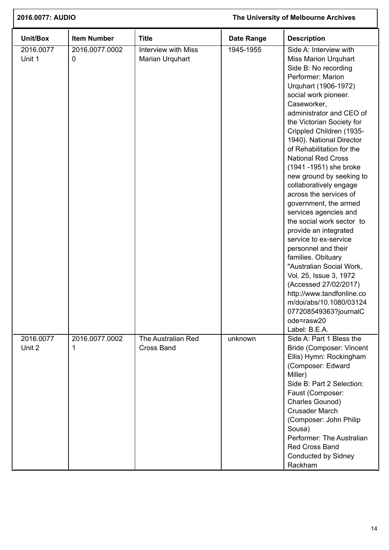| 2016.0077: AUDIO<br>The University of Melbourne Archives |                     |                                               |                   |                                                                                                                                                                                                                                                                                                                                                                                                                                                                                                                                                                                                                                                                                                                                                                                                                                    |
|----------------------------------------------------------|---------------------|-----------------------------------------------|-------------------|------------------------------------------------------------------------------------------------------------------------------------------------------------------------------------------------------------------------------------------------------------------------------------------------------------------------------------------------------------------------------------------------------------------------------------------------------------------------------------------------------------------------------------------------------------------------------------------------------------------------------------------------------------------------------------------------------------------------------------------------------------------------------------------------------------------------------------|
| Unit/Box                                                 | <b>Item Number</b>  | <b>Title</b>                                  | <b>Date Range</b> | <b>Description</b>                                                                                                                                                                                                                                                                                                                                                                                                                                                                                                                                                                                                                                                                                                                                                                                                                 |
| 2016.0077<br>Unit 1                                      | 2016.0077.0002<br>0 | <b>Interview with Miss</b><br>Marian Urquhart | 1945-1955         | Side A: Interview with<br><b>Miss Marion Urquhart</b><br>Side B: No recording<br>Performer: Marion<br>Urquhart (1906-1972)<br>social work pioneer.<br>Caseworker,<br>administrator and CEO of<br>the Victorian Society for<br>Crippled Children (1935-<br>1940). National Director<br>of Rehabilitation for the<br><b>National Red Cross</b><br>(1941-1951) she broke<br>new ground by seeking to<br>collaboratively engage<br>across the services of<br>government, the armed<br>services agencies and<br>the social work sector to<br>provide an integrated<br>service to ex-service<br>personnel and their<br>families. Obituary<br>"Australian Social Work,<br>Vol. 25, Issue 3, 1972<br>(Accessed 27/02/2017)<br>http://www.tandfonline.co<br>m/doi/abs/10.1080/03124<br>077208549363?journalC<br>ode=rasw20<br>Label: B.E.A. |
| 2016.0077<br>Unit 2                                      | 2016.0077.0002<br>1 | The Australian Red<br><b>Cross Band</b>       | unknown           | Side A: Part 1 Bless the<br>Bride (Composer: Vincent<br>Ellis) Hymn: Rockingham<br>(Composer: Edward<br>Miller)<br>Side B: Part 2 Selection:<br>Faust (Composer:<br>Charles Gounod)<br><b>Crusader March</b><br>(Composer: John Philip<br>Sousa)<br>Performer: The Australian<br><b>Red Cross Band</b><br>Conducted by Sidney<br>Rackham                                                                                                                                                                                                                                                                                                                                                                                                                                                                                           |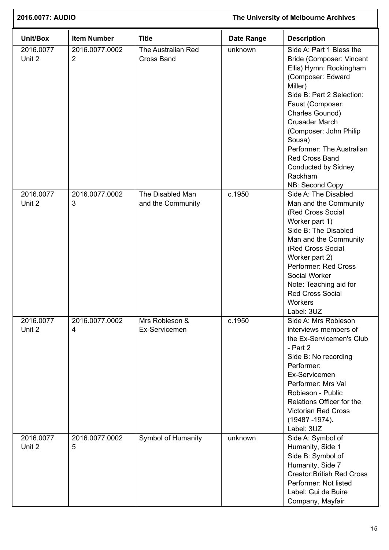| 2016.0077: AUDIO    |                                  |                                         | The University of Melbourne Archives |                                                                                                                                                                                                                                                                                                                                                             |  |
|---------------------|----------------------------------|-----------------------------------------|--------------------------------------|-------------------------------------------------------------------------------------------------------------------------------------------------------------------------------------------------------------------------------------------------------------------------------------------------------------------------------------------------------------|--|
| Unit/Box            | <b>Item Number</b>               | <b>Title</b>                            | <b>Date Range</b>                    | <b>Description</b>                                                                                                                                                                                                                                                                                                                                          |  |
| 2016.0077<br>Unit 2 | 2016.0077.0002<br>$\overline{2}$ | The Australian Red<br><b>Cross Band</b> | unknown                              | Side A: Part 1 Bless the<br>Bride (Composer: Vincent<br>Ellis) Hymn: Rockingham<br>(Composer: Edward<br>Miller)<br>Side B: Part 2 Selection:<br>Faust (Composer:<br>Charles Gounod)<br><b>Crusader March</b><br>(Composer: John Philip<br>Sousa)<br>Performer: The Australian<br>Red Cross Band<br><b>Conducted by Sidney</b><br>Rackham<br>NB: Second Copy |  |
| 2016.0077<br>Unit 2 | 2016.0077.0002<br>3              | The Disabled Man<br>and the Community   | c.1950                               | Side A: The Disabled<br>Man and the Community<br>(Red Cross Social<br>Worker part 1)<br>Side B: The Disabled<br>Man and the Community<br>(Red Cross Social<br>Worker part 2)<br>Performer: Red Cross<br>Social Worker<br>Note: Teaching aid for<br><b>Red Cross Social</b><br><b>Workers</b><br>Label: 3UZ                                                  |  |
| 2016.0077<br>Unit 2 | 2016.0077.0002<br>4              | Mrs Robieson &<br>Ex-Servicemen         | c.1950                               | Side A: Mrs Robieson<br>interviews members of<br>the Ex-Servicemen's Club<br>- Part 2<br>Side B: No recording<br>Performer:<br>Ex-Servicemen<br>Performer: Mrs Val<br>Robieson - Public<br>Relations Officer for the<br><b>Victorian Red Cross</b><br>$(1948? - 1974).$<br>Label: 3UZ                                                                       |  |
| 2016.0077<br>Unit 2 | 2016.0077.0002<br>5              | Symbol of Humanity                      | unknown                              | Side A: Symbol of<br>Humanity, Side 1<br>Side B: Symbol of<br>Humanity, Side 7<br><b>Creator:British Red Cross</b><br>Performer: Not listed<br>Label: Gui de Buire<br>Company, Mayfair                                                                                                                                                                      |  |

 $\Gamma$ 

Ī.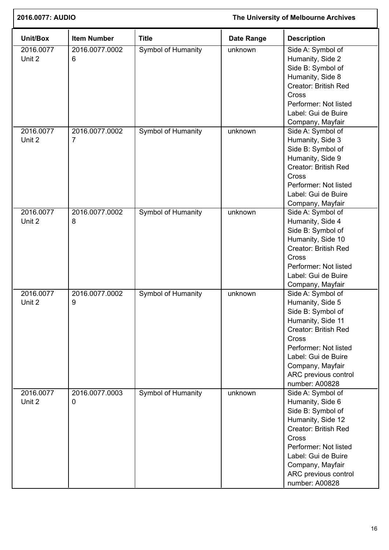|                     | 2016.0077: AUDIO                 |                           |                   | The University of Melbourne Archives                                                                                                                                                                                                  |  |  |
|---------------------|----------------------------------|---------------------------|-------------------|---------------------------------------------------------------------------------------------------------------------------------------------------------------------------------------------------------------------------------------|--|--|
| Unit/Box            | <b>Item Number</b>               | <b>Title</b>              | <b>Date Range</b> | <b>Description</b>                                                                                                                                                                                                                    |  |  |
| 2016.0077<br>Unit 2 | 2016.0077.0002<br>6              | Symbol of Humanity        | unknown           | Side A: Symbol of<br>Humanity, Side 2<br>Side B: Symbol of<br>Humanity, Side 8<br><b>Creator: British Red</b><br>Cross<br>Performer: Not listed<br>Label: Gui de Buire<br>Company, Mayfair                                            |  |  |
| 2016.0077<br>Unit 2 | 2016.0077.0002<br>$\overline{7}$ | Symbol of Humanity        | unknown           | Side A: Symbol of<br>Humanity, Side 3<br>Side B: Symbol of<br>Humanity, Side 9<br>Creator: British Red<br>Cross<br>Performer: Not listed<br>Label: Gui de Buire<br>Company, Mayfair                                                   |  |  |
| 2016.0077<br>Unit 2 | 2016.0077.0002<br>8              | Symbol of Humanity        | unknown           | Side A: Symbol of<br>Humanity, Side 4<br>Side B: Symbol of<br>Humanity, Side 10<br><b>Creator: British Red</b><br>Cross<br>Performer: Not listed<br>Label: Gui de Buire<br>Company, Mayfair                                           |  |  |
| 2016.0077<br>Unit 2 | 2016.0077.0002<br>9              | <b>Symbol of Humanity</b> | unknown           | Side A: Symbol of<br>Humanity, Side 5<br>Side B: Symbol of<br>Humanity, Side 11<br><b>Creator: British Red</b><br>Cross<br>Performer: Not listed<br>Label: Gui de Buire<br>Company, Mayfair<br>ARC previous control<br>number: A00828 |  |  |
| 2016.0077<br>Unit 2 | 2016.0077.0003<br>0              | Symbol of Humanity        | unknown           | Side A: Symbol of<br>Humanity, Side 6<br>Side B: Symbol of<br>Humanity, Side 12<br>Creator: British Red<br>Cross<br>Performer: Not listed<br>Label: Gui de Buire<br>Company, Mayfair<br>ARC previous control<br>number: A00828        |  |  |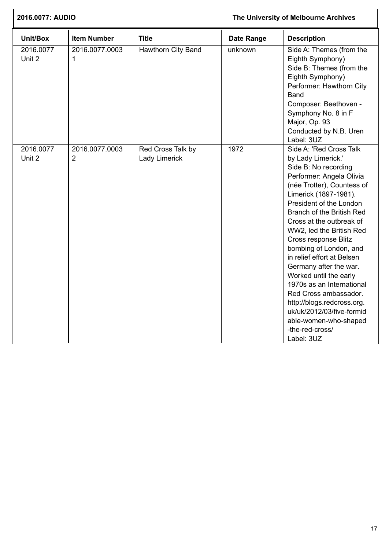| 2016.0077: AUDIO    |                                  |                                    | The University of Melbourne Archives |                                                                                                                                                                                                                                                                                                                                                                                                                                                                                                                                                                                         |  |
|---------------------|----------------------------------|------------------------------------|--------------------------------------|-----------------------------------------------------------------------------------------------------------------------------------------------------------------------------------------------------------------------------------------------------------------------------------------------------------------------------------------------------------------------------------------------------------------------------------------------------------------------------------------------------------------------------------------------------------------------------------------|--|
| Unit/Box            | <b>Item Number</b>               | <b>Title</b>                       | <b>Date Range</b>                    | <b>Description</b>                                                                                                                                                                                                                                                                                                                                                                                                                                                                                                                                                                      |  |
| 2016.0077<br>Unit 2 | 2016.0077.0003<br>1              | <b>Hawthorn City Band</b>          | unknown                              | Side A: Themes (from the<br>Eighth Symphony)<br>Side B: Themes (from the<br>Eighth Symphony)<br>Performer: Hawthorn City<br><b>Band</b><br>Composer: Beethoven -<br>Symphony No. 8 in F<br>Major, Op. 93<br>Conducted by N.B. Uren<br>Label: 3UZ                                                                                                                                                                                                                                                                                                                                        |  |
| 2016.0077<br>Unit 2 | 2016.0077.0003<br>$\overline{2}$ | Red Cross Talk by<br>Lady Limerick | 1972                                 | Side A: 'Red Cross Talk<br>by Lady Limerick.'<br>Side B: No recording<br>Performer: Angela Olivia<br>(née Trotter), Countess of<br>Limerick (1897-1981).<br>President of the London<br>Branch of the British Red<br>Cross at the outbreak of<br>WW2, led the British Red<br>Cross response Blitz<br>bombing of London, and<br>in relief effort at Belsen<br>Germany after the war.<br>Worked until the early<br>1970s as an International<br>Red Cross ambassador.<br>http://blogs.redcross.org.<br>uk/uk/2012/03/five-formid<br>able-women-who-shaped<br>-the-red-cross/<br>Label: 3UZ |  |

Ī.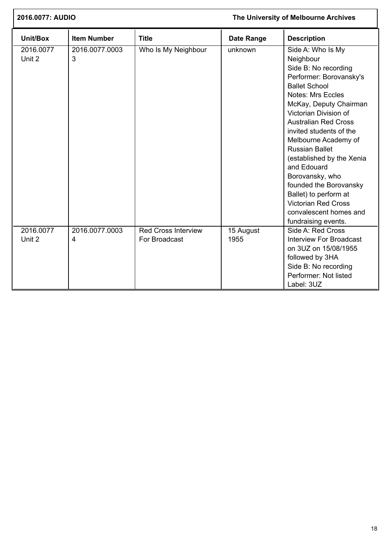| 2016.0077: AUDIO    |                     |                                             |                   | The University of Melbourne Archives                                                                                                                                                                                                                                                                                                                                                                                                                                                                 |
|---------------------|---------------------|---------------------------------------------|-------------------|------------------------------------------------------------------------------------------------------------------------------------------------------------------------------------------------------------------------------------------------------------------------------------------------------------------------------------------------------------------------------------------------------------------------------------------------------------------------------------------------------|
| Unit/Box            | <b>Item Number</b>  | <b>Title</b>                                | <b>Date Range</b> | <b>Description</b>                                                                                                                                                                                                                                                                                                                                                                                                                                                                                   |
| 2016.0077<br>Unit 2 | 2016.0077.0003<br>3 | Who Is My Neighbour                         | unknown           | Side A: Who Is My<br>Neighbour<br>Side B: No recording<br>Performer: Borovansky's<br><b>Ballet School</b><br><b>Notes: Mrs Eccles</b><br>McKay, Deputy Chairman<br>Victorian Division of<br><b>Australian Red Cross</b><br>invited students of the<br>Melbourne Academy of<br><b>Russian Ballet</b><br>(established by the Xenia<br>and Edouard<br>Borovansky, who<br>founded the Borovansky<br>Ballet) to perform at<br><b>Victorian Red Cross</b><br>convalescent homes and<br>fundraising events. |
| 2016.0077<br>Unit 2 | 2016.0077.0003<br>4 | <b>Red Cross Interview</b><br>For Broadcast | 15 August<br>1955 | Side A: Red Cross<br><b>Interview For Broadcast</b><br>on 3UZ on 15/08/1955<br>followed by 3HA<br>Side B: No recording<br>Performer: Not listed<br>Label: 3UZ                                                                                                                                                                                                                                                                                                                                        |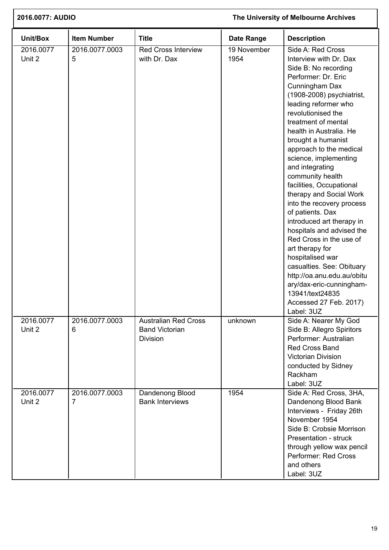| 2016.0077: AUDIO    |                     | The University of Melbourne Archives                                    |                     |                                                                                                                                                                                                                                                                                                                                                                                                                                                                                                                                                                                                                                                                                                                                                  |
|---------------------|---------------------|-------------------------------------------------------------------------|---------------------|--------------------------------------------------------------------------------------------------------------------------------------------------------------------------------------------------------------------------------------------------------------------------------------------------------------------------------------------------------------------------------------------------------------------------------------------------------------------------------------------------------------------------------------------------------------------------------------------------------------------------------------------------------------------------------------------------------------------------------------------------|
| Unit/Box            | <b>Item Number</b>  | <b>Title</b>                                                            | <b>Date Range</b>   | <b>Description</b>                                                                                                                                                                                                                                                                                                                                                                                                                                                                                                                                                                                                                                                                                                                               |
| 2016.0077<br>Unit 2 | 2016.0077.0003<br>5 | <b>Red Cross Interview</b><br>with Dr. Dax                              | 19 November<br>1954 | Side A: Red Cross<br>Interview with Dr. Dax<br>Side B: No recording<br>Performer: Dr. Eric<br>Cunningham Dax<br>(1908-2008) psychiatrist,<br>leading reformer who<br>revolutionised the<br>treatment of mental<br>health in Australia. He<br>brought a humanist<br>approach to the medical<br>science, implementing<br>and integrating<br>community health<br>facilities, Occupational<br>therapy and Social Work<br>into the recovery process<br>of patients. Dax<br>introduced art therapy in<br>hospitals and advised the<br>Red Cross in the use of<br>art therapy for<br>hospitalised war<br>casualties. See: Obituary<br>http://oa.anu.edu.au/obitu<br>ary/dax-eric-cunningham-<br>13941/text24835<br>Accessed 27 Feb. 2017)<br>Label: 3UZ |
| 2016.0077<br>Unit 2 | 2016.0077.0003<br>6 | <b>Australian Red Cross</b><br><b>Band Victorian</b><br><b>Division</b> | unknown             | Side A: Nearer My God<br>Side B: Allegro Spiritors<br>Performer: Australian<br><b>Red Cross Band</b><br><b>Victorian Division</b><br>conducted by Sidney<br>Rackham<br>Label: 3UZ                                                                                                                                                                                                                                                                                                                                                                                                                                                                                                                                                                |
| 2016.0077<br>Unit 2 | 2016.0077.0003<br>7 | Dandenong Blood<br><b>Bank Interviews</b>                               | 1954                | Side A: Red Cross, 3HA,<br>Dandenong Blood Bank<br>Interviews - Friday 26th<br>November 1954<br>Side B: Crobsie Morrison<br>Presentation - struck<br>through yellow wax pencil<br>Performer: Red Cross<br>and others<br>Label: 3UZ                                                                                                                                                                                                                                                                                                                                                                                                                                                                                                               |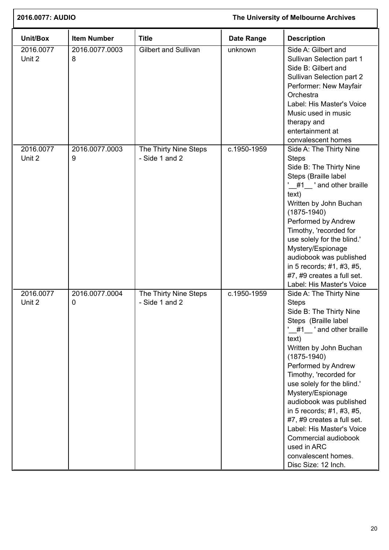| 2016.0077: AUDIO    |                     |                                         |                   | The University of Melbourne Archives                                                                                                                                                                                                                                                                                                                                                                                                                                                   |
|---------------------|---------------------|-----------------------------------------|-------------------|----------------------------------------------------------------------------------------------------------------------------------------------------------------------------------------------------------------------------------------------------------------------------------------------------------------------------------------------------------------------------------------------------------------------------------------------------------------------------------------|
| Unit/Box            | <b>Item Number</b>  | <b>Title</b>                            | <b>Date Range</b> | <b>Description</b>                                                                                                                                                                                                                                                                                                                                                                                                                                                                     |
| 2016.0077<br>Unit 2 | 2016.0077.0003<br>8 | <b>Gilbert and Sullivan</b>             | unknown           | Side A: Gilbert and<br>Sullivan Selection part 1<br>Side B: Gilbert and<br>Sullivan Selection part 2<br>Performer: New Mayfair<br>Orchestra<br>Label: His Master's Voice<br>Music used in music<br>therapy and<br>entertainment at<br>convalescent homes                                                                                                                                                                                                                               |
| 2016.0077<br>Unit 2 | 2016.0077.0003<br>9 | The Thirty Nine Steps<br>- Side 1 and 2 | c.1950-1959       | Side A: The Thirty Nine<br><b>Steps</b><br>Side B: The Thirty Nine<br>Steps (Braille label<br>#1 'and other braille<br>text)<br>Written by John Buchan<br>$(1875 - 1940)$<br>Performed by Andrew<br>Timothy, 'recorded for<br>use solely for the blind.'<br>Mystery/Espionage<br>audiobook was published<br>in 5 records; #1, #3, #5,<br>#7, #9 creates a full set.<br>Label: His Master's Voice                                                                                       |
| 2016.0077<br>Unit 2 | 2016.0077.0004<br>0 | The Thirty Nine Steps<br>- Side 1 and 2 | c.1950-1959       | Side A: The Thirty Nine<br><b>Steps</b><br>Side B: The Thirty Nine<br>Steps (Braille label<br>$#1$ and other braille<br>text)<br>Written by John Buchan<br>$(1875 - 1940)$<br>Performed by Andrew<br>Timothy, 'recorded for<br>use solely for the blind.'<br>Mystery/Espionage<br>audiobook was published<br>in 5 records; #1, #3, #5,<br>#7, #9 creates a full set.<br>Label: His Master's Voice<br>Commercial audiobook<br>used in ARC<br>convalescent homes.<br>Disc Size: 12 Inch. |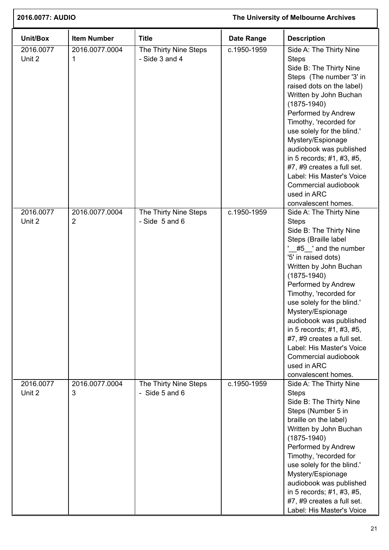| 2016.0077: AUDIO    |                                  | The University of Melbourne Archives        |             |                                                                                                                                                                                                                                                                                                                                                                                                                                                                          |
|---------------------|----------------------------------|---------------------------------------------|-------------|--------------------------------------------------------------------------------------------------------------------------------------------------------------------------------------------------------------------------------------------------------------------------------------------------------------------------------------------------------------------------------------------------------------------------------------------------------------------------|
| Unit/Box            | <b>Item Number</b>               | <b>Title</b>                                | Date Range  | <b>Description</b>                                                                                                                                                                                                                                                                                                                                                                                                                                                       |
| 2016.0077<br>Unit 2 | 2016.0077.0004<br>1              | The Thirty Nine Steps<br>- Side 3 and 4     | c.1950-1959 | Side A: The Thirty Nine<br><b>Steps</b><br>Side B: The Thirty Nine<br>Steps (The number '3' in<br>raised dots on the label)<br>Written by John Buchan<br>$(1875 - 1940)$<br>Performed by Andrew<br>Timothy, 'recorded for<br>use solely for the blind.'<br>Mystery/Espionage<br>audiobook was published<br>in 5 records; #1, #3, #5,<br>#7, #9 creates a full set.<br>Label: His Master's Voice<br>Commercial audiobook<br>used in ARC<br>convalescent homes.            |
| 2016.0077<br>Unit 2 | 2016.0077.0004<br>$\overline{2}$ | The Thirty Nine Steps<br>$-$ Side 5 and 6   | c.1950-1959 | Side A: The Thirty Nine<br><b>Steps</b><br>Side B: The Thirty Nine<br>Steps (Braille label<br>#5 and the number<br>'5' in raised dots)<br>Written by John Buchan<br>$(1875 - 1940)$<br>Performed by Andrew<br>Timothy, 'recorded for<br>use solely for the blind.'<br>Mystery/Espionage<br>audiobook was published<br>in 5 records; #1, #3, #5,<br>#7, #9 creates a full set.<br>Label: His Master's Voice<br>Commercial audiobook<br>used in ARC<br>convalescent homes. |
| 2016.0077<br>Unit 2 | 2016.0077.0004<br>3              | The Thirty Nine Steps<br>- Side $5$ and $6$ | c.1950-1959 | Side A: The Thirty Nine<br><b>Steps</b><br>Side B: The Thirty Nine<br>Steps (Number 5 in<br>braille on the label)<br>Written by John Buchan<br>$(1875 - 1940)$<br>Performed by Andrew<br>Timothy, 'recorded for<br>use solely for the blind.'<br>Mystery/Espionage<br>audiobook was published<br>in 5 records; #1, #3, #5,<br>#7, #9 creates a full set.<br>Label: His Master's Voice                                                                                    |

I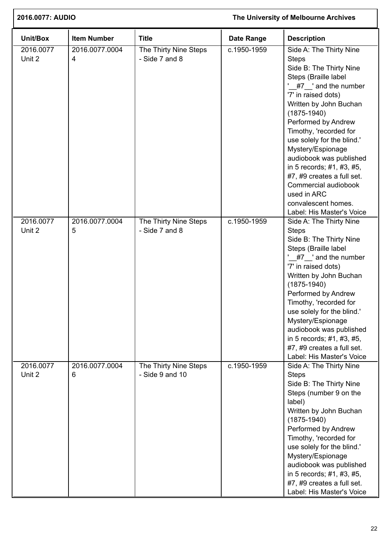| 2016.0077: AUDIO    |                     | The University of Melbourne Archives     |                   |                                                                                                                                                                                                                                                                                                                                                                                                                                                                            |
|---------------------|---------------------|------------------------------------------|-------------------|----------------------------------------------------------------------------------------------------------------------------------------------------------------------------------------------------------------------------------------------------------------------------------------------------------------------------------------------------------------------------------------------------------------------------------------------------------------------------|
| Unit/Box            | <b>Item Number</b>  | <b>Title</b>                             | <b>Date Range</b> | <b>Description</b>                                                                                                                                                                                                                                                                                                                                                                                                                                                         |
| 2016.0077<br>Unit 2 | 2016.0077.0004<br>4 | The Thirty Nine Steps<br>- Side 7 and 8  | c.1950-1959       | Side A: The Thirty Nine<br><b>Steps</b><br>Side B: The Thirty Nine<br>Steps (Braille label<br>'_#7_' and the number<br>'7' in raised dots)<br>Written by John Buchan<br>$(1875-1940)$<br>Performed by Andrew<br>Timothy, 'recorded for<br>use solely for the blind.'<br>Mystery/Espionage<br>audiobook was published<br>in 5 records; #1, #3, #5,<br>#7, #9 creates a full set.<br>Commercial audiobook<br>used in ARC<br>convalescent homes.<br>Label: His Master's Voice |
| 2016.0077<br>Unit 2 | 2016.0077.0004<br>5 | The Thirty Nine Steps<br>- Side 7 and 8  | c.1950-1959       | Side A: The Thirty Nine<br><b>Steps</b><br>Side B: The Thirty Nine<br>Steps (Braille label<br>$\frac{47}{47}$ and the number<br>'7' in raised dots)<br>Written by John Buchan<br>$(1875 - 1940)$<br>Performed by Andrew<br>Timothy, 'recorded for<br>use solely for the blind.'<br>Mystery/Espionage<br>audiobook was published<br>in 5 records; #1, #3, #5,<br>#7, #9 creates a full set.<br>Label: His Master's Voice                                                    |
| 2016.0077<br>Unit 2 | 2016.0077.0004<br>6 | The Thirty Nine Steps<br>- Side 9 and 10 | c.1950-1959       | Side A: The Thirty Nine<br><b>Steps</b><br>Side B: The Thirty Nine<br>Steps (number 9 on the<br>label)<br>Written by John Buchan<br>$(1875 - 1940)$<br>Performed by Andrew<br>Timothy, 'recorded for<br>use solely for the blind.'<br>Mystery/Espionage<br>audiobook was published<br>in 5 records; #1, #3, #5,<br>#7, #9 creates a full set.<br>Label: His Master's Voice                                                                                                 |

 $\overline{1}$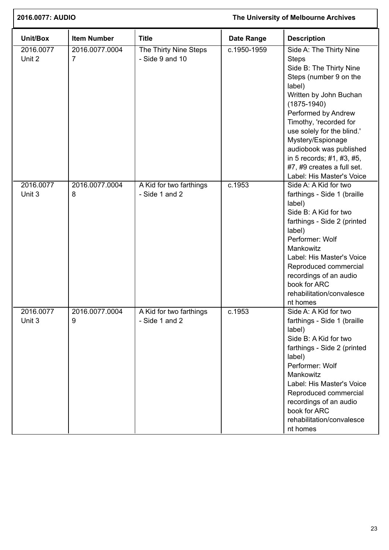| 2016.0077: AUDIO    |                     | The University of Melbourne Archives      |                   |                                                                                                                                                                                                                                                                                                                                                                            |
|---------------------|---------------------|-------------------------------------------|-------------------|----------------------------------------------------------------------------------------------------------------------------------------------------------------------------------------------------------------------------------------------------------------------------------------------------------------------------------------------------------------------------|
| Unit/Box            | <b>Item Number</b>  | <b>Title</b>                              | <b>Date Range</b> | <b>Description</b>                                                                                                                                                                                                                                                                                                                                                         |
| 2016.0077<br>Unit 2 | 2016.0077.0004<br>7 | The Thirty Nine Steps<br>- Side 9 and 10  | c.1950-1959       | Side A: The Thirty Nine<br><b>Steps</b><br>Side B: The Thirty Nine<br>Steps (number 9 on the<br>label)<br>Written by John Buchan<br>$(1875 - 1940)$<br>Performed by Andrew<br>Timothy, 'recorded for<br>use solely for the blind.'<br>Mystery/Espionage<br>audiobook was published<br>in 5 records; #1, #3, #5,<br>#7, #9 creates a full set.<br>Label: His Master's Voice |
| 2016.0077<br>Unit 3 | 2016.0077.0004<br>8 | A Kid for two farthings<br>- Side 1 and 2 | c.1953            | Side A: A Kid for two<br>farthings - Side 1 (braille<br>label)<br>Side B: A Kid for two<br>farthings - Side 2 (printed<br>label)<br>Performer: Wolf<br>Mankowitz<br>Label: His Master's Voice<br>Reproduced commercial<br>recordings of an audio<br>book for ARC<br>rehabilitation/convalesce<br>nt homes                                                                  |
| 2016.0077<br>Unit 3 | 2016.0077.0004<br>9 | A Kid for two farthings<br>- Side 1 and 2 | c.1953            | Side A: A Kid for two<br>farthings - Side 1 (braille<br>label)<br>Side B: A Kid for two<br>farthings - Side 2 (printed<br>label)<br>Performer: Wolf<br>Mankowitz<br>Label: His Master's Voice<br>Reproduced commercial<br>recordings of an audio<br>book for ARC<br>rehabilitation/convalesce<br>nt homes                                                                  |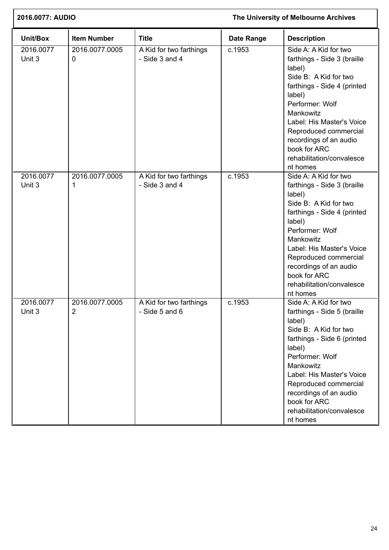| 2016.0077: AUDIO    |                     |                                           | The University of Melbourne Archives |                                                                                                                                                                                                                                                                                                           |  |
|---------------------|---------------------|-------------------------------------------|--------------------------------------|-----------------------------------------------------------------------------------------------------------------------------------------------------------------------------------------------------------------------------------------------------------------------------------------------------------|--|
| Unit/Box            | <b>Item Number</b>  | <b>Title</b>                              | Date Range                           | <b>Description</b>                                                                                                                                                                                                                                                                                        |  |
| 2016.0077<br>Unit 3 | 2016.0077.0005<br>0 | A Kid for two farthings<br>- Side 3 and 4 | $\overline{c.1953}$                  | Side A: A Kid for two<br>farthings - Side 3 (braille<br>label)<br>Side B: A Kid for two<br>farthings - Side 4 (printed<br>label)<br>Performer: Wolf<br>Mankowitz<br>Label: His Master's Voice<br>Reproduced commercial<br>recordings of an audio<br>book for ARC<br>rehabilitation/convalesce<br>nt homes |  |
| 2016.0077<br>Unit 3 | 2016.0077.0005<br>1 | A Kid for two farthings<br>- Side 3 and 4 | c.1953                               | Side A: A Kid for two<br>farthings - Side 3 (braille<br>label)<br>Side B: A Kid for two<br>farthings - Side 4 (printed<br>label)<br>Performer: Wolf<br>Mankowitz<br>Label: His Master's Voice<br>Reproduced commercial<br>recordings of an audio<br>book for ARC<br>rehabilitation/convalesce<br>nt homes |  |
| 2016.0077<br>Unit 3 | 2016.0077.0005<br>2 | A Kid for two farthings<br>- Side 5 and 6 | c.1953                               | Side A: A Kid for two<br>farthings - Side 5 (braille<br>label)<br>Side B: A Kid for two<br>farthings - Side 6 (printed<br>label)<br>Performer: Wolf<br>Mankowitz<br>Label: His Master's Voice<br>Reproduced commercial<br>recordings of an audio<br>book for ARC<br>rehabilitation/convalesce<br>nt homes |  |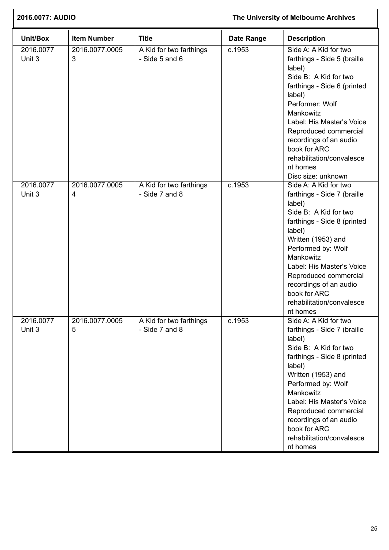| 2016.0077: AUDIO    |                     | The University of Melbourne Archives        |                   |                                                                                                                                                                                                                                                                                                                                    |
|---------------------|---------------------|---------------------------------------------|-------------------|------------------------------------------------------------------------------------------------------------------------------------------------------------------------------------------------------------------------------------------------------------------------------------------------------------------------------------|
| Unit/Box            | <b>Item Number</b>  | <b>Title</b>                                | <b>Date Range</b> | <b>Description</b>                                                                                                                                                                                                                                                                                                                 |
| 2016.0077<br>Unit 3 | 2016.0077.0005<br>3 | A Kid for two farthings<br>$-$ Side 5 and 6 | c.1953            | Side A: A Kid for two<br>farthings - Side 5 (braille<br>label)<br>Side B: A Kid for two<br>farthings - Side 6 (printed<br>label)<br>Performer: Wolf<br>Mankowitz<br>Label: His Master's Voice<br>Reproduced commercial<br>recordings of an audio<br>book for ARC<br>rehabilitation/convalesce<br>nt homes<br>Disc size: unknown    |
| 2016.0077<br>Unit 3 | 2016.0077.0005<br>4 | A Kid for two farthings<br>- Side 7 and 8   | c.1953            | Side A: A Kid for two<br>farthings - Side 7 (braille<br>label)<br>Side B: A Kid for two<br>farthings - Side 8 (printed<br>label)<br>Written (1953) and<br>Performed by: Wolf<br>Mankowitz<br>Label: His Master's Voice<br>Reproduced commercial<br>recordings of an audio<br>book for ARC<br>rehabilitation/convalesce<br>nt homes |
| 2016.0077<br>Unit 3 | 2016.0077.0005<br>5 | A Kid for two farthings<br>- Side 7 and 8   | c.1953            | Side A: A Kid for two<br>farthings - Side 7 (braille<br>label)<br>Side B: A Kid for two<br>farthings - Side 8 (printed<br>label)<br>Written (1953) and<br>Performed by: Wolf<br>Mankowitz<br>Label: His Master's Voice<br>Reproduced commercial<br>recordings of an audio<br>book for ARC<br>rehabilitation/convalesce<br>nt homes |

Ī.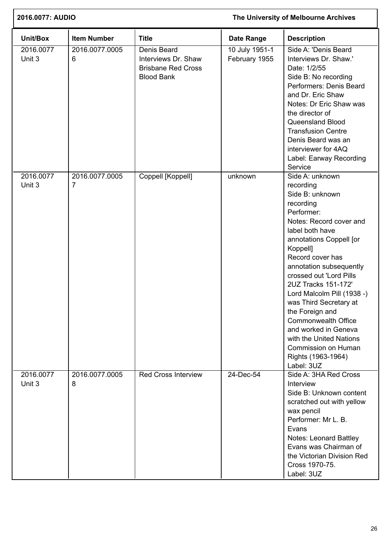| 2016.0077: AUDIO    |                                  | The University of Melbourne Archives                                                 |                                 |                                                                                                                                                                                                                                                                                                                                                                                                                                                                                  |
|---------------------|----------------------------------|--------------------------------------------------------------------------------------|---------------------------------|----------------------------------------------------------------------------------------------------------------------------------------------------------------------------------------------------------------------------------------------------------------------------------------------------------------------------------------------------------------------------------------------------------------------------------------------------------------------------------|
| Unit/Box            | <b>Item Number</b>               | <b>Title</b>                                                                         | Date Range                      | <b>Description</b>                                                                                                                                                                                                                                                                                                                                                                                                                                                               |
| 2016.0077<br>Unit 3 | 2016.0077.0005<br>6              | Denis Beard<br>Interviews Dr. Shaw<br><b>Brisbane Red Cross</b><br><b>Blood Bank</b> | 10 July 1951-1<br>February 1955 | Side A: 'Denis Beard<br>Interviews Dr. Shaw.'<br>Date: 1/2/55<br>Side B: No recording<br>Performers: Denis Beard<br>and Dr. Eric Shaw<br>Notes: Dr Eric Shaw was<br>the director of<br>Queensland Blood<br><b>Transfusion Centre</b><br>Denis Beard was an<br>interviewer for 4AQ<br>Label: Earway Recording<br>Service                                                                                                                                                          |
| 2016.0077<br>Unit 3 | 2016.0077.0005<br>$\overline{7}$ | Coppell [Koppell]                                                                    | unknown                         | Side A: unknown<br>recording<br>Side B: unknown<br>recording<br>Performer:<br>Notes: Record cover and<br>label both have<br>annotations Coppell [or<br>Koppell]<br>Record cover has<br>annotation subsequently<br>crossed out 'Lord Pills<br>2UZ Tracks 151-172'<br>Lord Malcolm Pill (1938 -)<br>was Third Secretary at<br>the Foreign and<br>Commonwealth Office<br>and worked in Geneva<br>with the United Nations<br>Commission on Human<br>Rights (1963-1964)<br>Label: 3UZ |
| 2016.0077<br>Unit 3 | 2016.0077.0005<br>8              | <b>Red Cross Interview</b>                                                           | 24-Dec-54                       | Side A: 3HA Red Cross<br>Interview<br>Side B: Unknown content<br>scratched out with yellow<br>wax pencil<br>Performer: Mr L. B.<br>Evans<br><b>Notes: Leonard Battley</b><br>Evans was Chairman of<br>the Victorian Division Red<br>Cross 1970-75.<br>Label: 3UZ                                                                                                                                                                                                                 |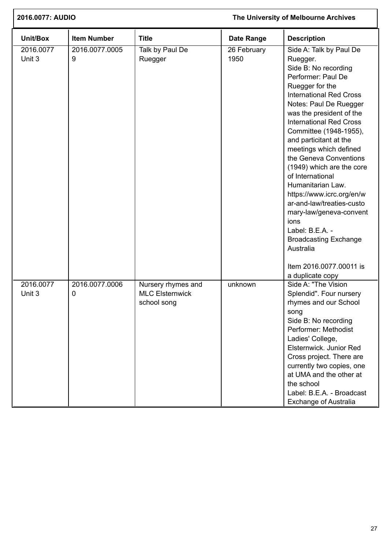| 2016.0077: AUDIO    |                     |                                                             | The University of Melbourne Archives |                                                                                                                                                                                                                                                                                                                                                                                                                                                                                                                                                                                                                          |
|---------------------|---------------------|-------------------------------------------------------------|--------------------------------------|--------------------------------------------------------------------------------------------------------------------------------------------------------------------------------------------------------------------------------------------------------------------------------------------------------------------------------------------------------------------------------------------------------------------------------------------------------------------------------------------------------------------------------------------------------------------------------------------------------------------------|
| Unit/Box            | <b>Item Number</b>  | <b>Title</b>                                                | <b>Date Range</b>                    | <b>Description</b>                                                                                                                                                                                                                                                                                                                                                                                                                                                                                                                                                                                                       |
| 2016.0077<br>Unit 3 | 2016.0077.0005<br>9 | Talk by Paul De<br>Ruegger                                  | 26 February<br>1950                  | Side A: Talk by Paul De<br>Ruegger.<br>Side B: No recording<br>Performer: Paul De<br>Ruegger for the<br><b>International Red Cross</b><br>Notes: Paul De Ruegger<br>was the president of the<br><b>International Red Cross</b><br>Committee (1948-1955),<br>and particitant at the<br>meetings which defined<br>the Geneva Conventions<br>(1949) which are the core<br>of International<br>Humanitarian Law.<br>https://www.icrc.org/en/w<br>ar-and-law/treaties-custo<br>mary-law/geneva-convent<br>ions<br>Label: B.E.A. -<br><b>Broadcasting Exchange</b><br>Australia<br>Item 2016.0077.00011 is<br>a duplicate copy |
| 2016.0077<br>Unit 3 | 2016.0077.0006<br>0 | Nursery rhymes and<br><b>MLC Elsternwick</b><br>school song | unknown                              | Side A: "The Vision<br>Splendid". Four nursery<br>rhymes and our School<br>song<br>Side B: No recording<br>Performer: Methodist<br>Ladies' College,<br>Elsternwick, Junior Red<br>Cross project. There are<br>currently two copies, one<br>at UMA and the other at<br>the school<br>Label: B.E.A. - Broadcast<br><b>Exchange of Australia</b>                                                                                                                                                                                                                                                                            |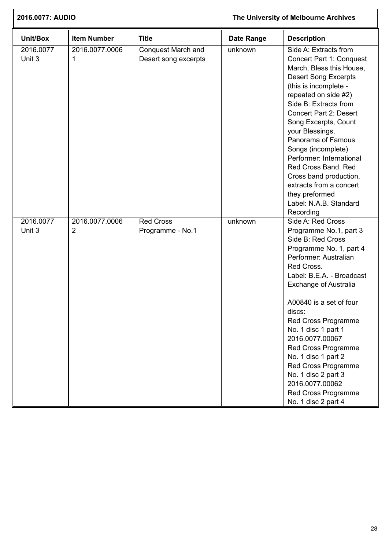| 2016.0077: AUDIO    |                                  |                                                   |                   | The University of Melbourne Archives                                                                                                                                                                                                                                                                                                                                                                                                                                            |
|---------------------|----------------------------------|---------------------------------------------------|-------------------|---------------------------------------------------------------------------------------------------------------------------------------------------------------------------------------------------------------------------------------------------------------------------------------------------------------------------------------------------------------------------------------------------------------------------------------------------------------------------------|
| Unit/Box            | <b>Item Number</b>               | <b>Title</b>                                      | <b>Date Range</b> | <b>Description</b>                                                                                                                                                                                                                                                                                                                                                                                                                                                              |
| 2016.0077<br>Unit 3 | 2016.0077.0006<br>1              | <b>Conquest March and</b><br>Desert song excerpts | unknown           | Side A: Extracts from<br>Concert Part 1: Conquest<br>March, Bless this House,<br><b>Desert Song Excerpts</b><br>(this is incomplete -<br>repeated on side #2)<br>Side B: Extracts from<br><b>Concert Part 2: Desert</b><br>Song Excerpts, Count<br>your Blessings,<br>Panorama of Famous<br>Songs (incomplete)<br>Performer: International<br>Red Cross Band. Red<br>Cross band production,<br>extracts from a concert<br>they preformed<br>Label: N.A.B. Standard<br>Recording |
| 2016.0077<br>Unit 3 | 2016.0077.0006<br>$\overline{2}$ | <b>Red Cross</b><br>Programme - No.1              | unknown           | Side A: Red Cross<br>Programme No.1, part 3<br>Side B: Red Cross<br>Programme No. 1, part 4<br>Performer: Australian<br>Red Cross.<br>Label: B.E.A. - Broadcast<br><b>Exchange of Australia</b><br>A00840 is a set of four<br>discs:<br>Red Cross Programme<br>No. 1 disc 1 part 1<br>2016.0077.00067<br>Red Cross Programme<br>No. 1 disc 1 part 2<br>Red Cross Programme<br>No. 1 disc 2 part 3<br>2016.0077.00062<br>Red Cross Programme<br>No. 1 disc 2 part 4              |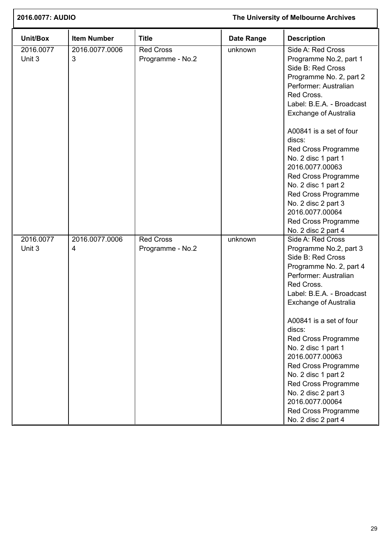| 2016.0077: AUDIO    |                     |                                      | The University of Melbourne Archives |                                                                                                                                                                                                                                                                                                                                                                                                                                                                    |  |
|---------------------|---------------------|--------------------------------------|--------------------------------------|--------------------------------------------------------------------------------------------------------------------------------------------------------------------------------------------------------------------------------------------------------------------------------------------------------------------------------------------------------------------------------------------------------------------------------------------------------------------|--|
| Unit/Box            | <b>Item Number</b>  | <b>Title</b>                         | <b>Date Range</b>                    | <b>Description</b>                                                                                                                                                                                                                                                                                                                                                                                                                                                 |  |
| 2016.0077<br>Unit 3 | 2016.0077.0006<br>3 | <b>Red Cross</b><br>Programme - No.2 | unknown                              | Side A: Red Cross<br>Programme No.2, part 1<br>Side B: Red Cross<br>Programme No. 2, part 2<br>Performer: Australian<br>Red Cross.<br>Label: B.E.A. - Broadcast<br><b>Exchange of Australia</b>                                                                                                                                                                                                                                                                    |  |
|                     |                     |                                      |                                      | A00841 is a set of four<br>discs:<br>Red Cross Programme<br>No. 2 disc 1 part 1<br>2016.0077.00063<br>Red Cross Programme<br>No. 2 disc 1 part 2<br>Red Cross Programme<br>No. 2 disc 2 part 3<br>2016.0077.00064<br>Red Cross Programme<br>No. 2 disc 2 part 4                                                                                                                                                                                                    |  |
| 2016.0077<br>Unit 3 | 2016.0077.0006<br>4 | <b>Red Cross</b><br>Programme - No.2 | unknown                              | Side A: Red Cross<br>Programme No.2, part 3<br>Side B: Red Cross<br>Programme No. 2, part 4<br>Performer: Australian<br>Red Cross.<br>Label: B.E.A. - Broadcast<br><b>Exchange of Australia</b><br>A00841 is a set of four<br>discs:<br>Red Cross Programme<br>No. 2 disc 1 part 1<br>2016.0077.00063<br>Red Cross Programme<br>No. 2 disc 1 part 2<br>Red Cross Programme<br>No. 2 disc 2 part 3<br>2016.0077.00064<br>Red Cross Programme<br>No. 2 disc 2 part 4 |  |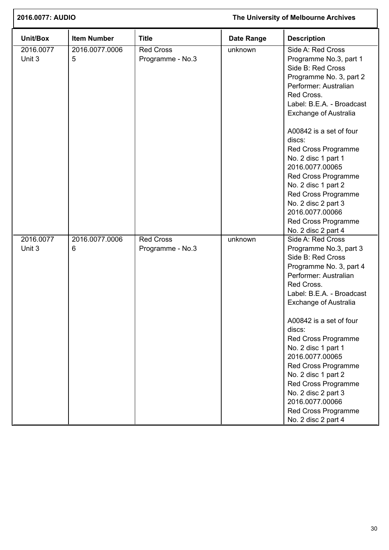| 2016.0077: AUDIO    |                     |                                      | The University of Melbourne Archives |                                                                                                                                                                                                                                                                                                                                                                                                                                                                    |  |
|---------------------|---------------------|--------------------------------------|--------------------------------------|--------------------------------------------------------------------------------------------------------------------------------------------------------------------------------------------------------------------------------------------------------------------------------------------------------------------------------------------------------------------------------------------------------------------------------------------------------------------|--|
| Unit/Box            | <b>Item Number</b>  | <b>Title</b>                         | <b>Date Range</b>                    | <b>Description</b>                                                                                                                                                                                                                                                                                                                                                                                                                                                 |  |
| 2016.0077<br>Unit 3 | 2016.0077.0006<br>5 | <b>Red Cross</b><br>Programme - No.3 | unknown                              | Side A: Red Cross<br>Programme No.3, part 1<br>Side B: Red Cross<br>Programme No. 3, part 2<br>Performer: Australian<br>Red Cross.<br>Label: B.E.A. - Broadcast<br><b>Exchange of Australia</b>                                                                                                                                                                                                                                                                    |  |
|                     |                     |                                      |                                      | A00842 is a set of four<br>discs:<br>Red Cross Programme<br>No. 2 disc 1 part 1<br>2016.0077.00065<br>Red Cross Programme<br>No. 2 disc 1 part 2<br>Red Cross Programme<br>No. 2 disc 2 part 3<br>2016.0077.00066<br>Red Cross Programme<br>No. 2 disc 2 part 4                                                                                                                                                                                                    |  |
| 2016.0077<br>Unit 3 | 2016.0077.0006<br>6 | <b>Red Cross</b><br>Programme - No.3 | unknown                              | Side A: Red Cross<br>Programme No.3, part 3<br>Side B: Red Cross<br>Programme No. 3, part 4<br>Performer: Australian<br>Red Cross.<br>Label: B.E.A. - Broadcast<br><b>Exchange of Australia</b><br>A00842 is a set of four<br>discs:<br>Red Cross Programme<br>No. 2 disc 1 part 1<br>2016.0077.00065<br>Red Cross Programme<br>No. 2 disc 1 part 2<br>Red Cross Programme<br>No. 2 disc 2 part 3<br>2016.0077.00066<br>Red Cross Programme<br>No. 2 disc 2 part 4 |  |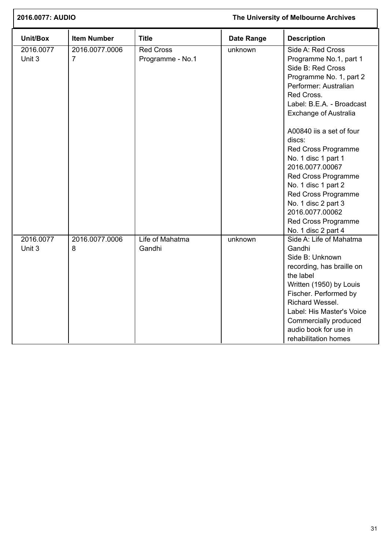| 2016.0077: AUDIO    |                     |                                      |                   | The University of Melbourne Archives                                                                                                                                                                                                                                                                                                                                                                                                                                |  |
|---------------------|---------------------|--------------------------------------|-------------------|---------------------------------------------------------------------------------------------------------------------------------------------------------------------------------------------------------------------------------------------------------------------------------------------------------------------------------------------------------------------------------------------------------------------------------------------------------------------|--|
| Unit/Box            | <b>Item Number</b>  | <b>Title</b>                         | <b>Date Range</b> | <b>Description</b>                                                                                                                                                                                                                                                                                                                                                                                                                                                  |  |
| 2016.0077<br>Unit 3 | 2016.0077.0006<br>7 | <b>Red Cross</b><br>Programme - No.1 | unknown           | Side A: Red Cross<br>Programme No.1, part 1<br>Side B: Red Cross<br>Programme No. 1, part 2<br>Performer: Australian<br>Red Cross.<br>Label: B.E.A. - Broadcast<br><b>Exchange of Australia</b><br>A00840 iis a set of four<br>discs:<br>Red Cross Programme<br>No. 1 disc 1 part 1<br>2016.0077.00067<br>Red Cross Programme<br>No. 1 disc 1 part 2<br>Red Cross Programme<br>No. 1 disc 2 part 3<br>2016.0077.00062<br>Red Cross Programme<br>No. 1 disc 2 part 4 |  |
| 2016.0077<br>Unit 3 | 2016.0077.0006<br>8 | Life of Mahatma<br>Gandhi            | unknown           | Side A: Life of Mahatma<br>Gandhi<br>Side B: Unknown<br>recording, has braille on<br>the label<br>Written (1950) by Louis<br>Fischer. Performed by<br>Richard Wessel.<br>Label: His Master's Voice<br>Commercially produced<br>audio book for use in<br>rehabilitation homes                                                                                                                                                                                        |  |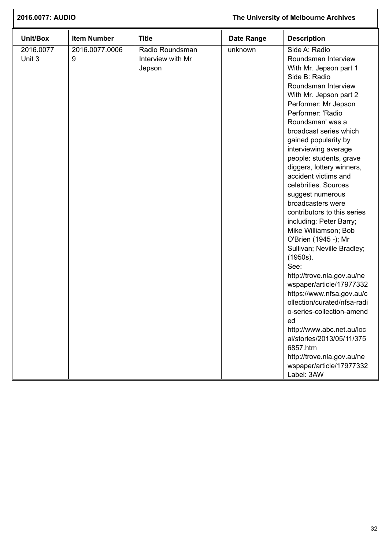| 2016.0077: AUDIO    |                     | The University of Melbourne Archives           |                   |                                                                                                                                                                                                                                                                                                                                                                                                                                                                                                                                                                                                                                                                                                                                                                                                                                                                                                 |
|---------------------|---------------------|------------------------------------------------|-------------------|-------------------------------------------------------------------------------------------------------------------------------------------------------------------------------------------------------------------------------------------------------------------------------------------------------------------------------------------------------------------------------------------------------------------------------------------------------------------------------------------------------------------------------------------------------------------------------------------------------------------------------------------------------------------------------------------------------------------------------------------------------------------------------------------------------------------------------------------------------------------------------------------------|
| Unit/Box            | <b>Item Number</b>  | <b>Title</b>                                   | <b>Date Range</b> | <b>Description</b>                                                                                                                                                                                                                                                                                                                                                                                                                                                                                                                                                                                                                                                                                                                                                                                                                                                                              |
| 2016.0077<br>Unit 3 | 2016.0077.0006<br>9 | Radio Roundsman<br>Interview with Mr<br>Jepson | unknown           | Side A: Radio<br>Roundsman Interview<br>With Mr. Jepson part 1<br>Side B: Radio<br>Roundsman Interview<br>With Mr. Jepson part 2<br>Performer: Mr Jepson<br>Performer: 'Radio<br>Roundsman' was a<br>broadcast series which<br>gained popularity by<br>interviewing average<br>people: students, grave<br>diggers, lottery winners,<br>accident victims and<br>celebrities. Sources<br>suggest numerous<br>broadcasters were<br>contributors to this series<br>including: Peter Barry;<br>Mike Williamson; Bob<br>O'Brien (1945 -); Mr<br>Sullivan; Neville Bradley;<br>(1950s).<br>See:<br>http://trove.nla.gov.au/ne<br>wspaper/article/17977332<br>https://www.nfsa.gov.au/c<br>ollection/curated/nfsa-radi<br>o-series-collection-amend<br>ed<br>http://www.abc.net.au/loc<br>al/stories/2013/05/11/375<br>6857.htm<br>http://trove.nla.gov.au/ne<br>wspaper/article/17977332<br>Label: 3AW |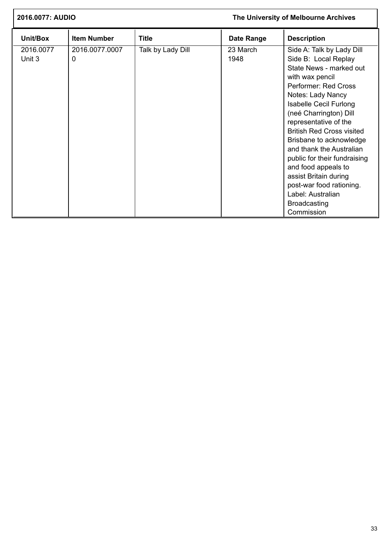| 2016.0077: AUDIO    |                     |                   |                   | The University of Melbourne Archives                                                                                                                                                                                                                                                                                                                                                                                                                                                              |
|---------------------|---------------------|-------------------|-------------------|---------------------------------------------------------------------------------------------------------------------------------------------------------------------------------------------------------------------------------------------------------------------------------------------------------------------------------------------------------------------------------------------------------------------------------------------------------------------------------------------------|
| Unit/Box            | <b>Item Number</b>  | <b>Title</b>      | <b>Date Range</b> | <b>Description</b>                                                                                                                                                                                                                                                                                                                                                                                                                                                                                |
| 2016.0077<br>Unit 3 | 2016.0077.0007<br>0 | Talk by Lady Dill | 23 March<br>1948  | Side A: Talk by Lady Dill<br>Side B: Local Replay<br>State News - marked out<br>with wax pencil<br>Performer: Red Cross<br>Notes: Lady Nancy<br><b>Isabelle Cecil Furlong</b><br>(neé Charrington) Dill<br>representative of the<br><b>British Red Cross visited</b><br>Brisbane to acknowledge<br>and thank the Australian<br>public for their fundraising<br>and food appeals to<br>assist Britain during<br>post-war food rationing.<br>Label: Australian<br><b>Broadcasting</b><br>Commission |

I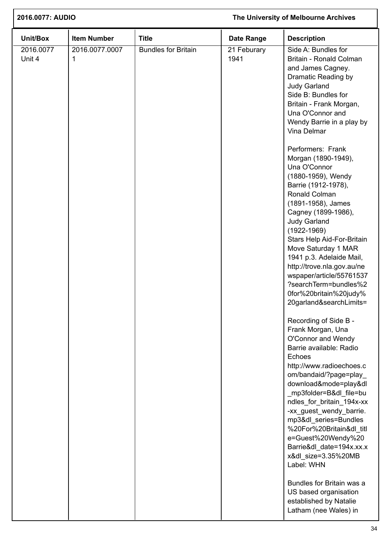| 2016.0077: AUDIO    |                     |                            | The University of Melbourne Archives |                                                                                                                                                                                                                                                                                                                                                                                                                                                                                                                                                                             |  |
|---------------------|---------------------|----------------------------|--------------------------------------|-----------------------------------------------------------------------------------------------------------------------------------------------------------------------------------------------------------------------------------------------------------------------------------------------------------------------------------------------------------------------------------------------------------------------------------------------------------------------------------------------------------------------------------------------------------------------------|--|
| Unit/Box            | <b>Item Number</b>  | <b>Title</b>               | <b>Date Range</b>                    | <b>Description</b>                                                                                                                                                                                                                                                                                                                                                                                                                                                                                                                                                          |  |
| 2016.0077<br>Unit 4 | 2016.0077.0007<br>1 | <b>Bundles for Britain</b> | 21 Feburary<br>1941                  | Side A: Bundles for<br>Britain - Ronald Colman<br>and James Cagney.<br>Dramatic Reading by<br><b>Judy Garland</b><br>Side B: Bundles for<br>Britain - Frank Morgan,<br>Una O'Connor and<br>Wendy Barrie in a play by<br>Vina Delmar                                                                                                                                                                                                                                                                                                                                         |  |
|                     |                     |                            |                                      | Performers: Frank<br>Morgan (1890-1949),<br>Una O'Connor<br>(1880-1959), Wendy<br>Barrie (1912-1978),<br>Ronald Colman<br>(1891-1958), James<br>Cagney (1899-1986),<br><b>Judy Garland</b><br>$(1922 - 1969)$<br>Stars Help Aid-For-Britain<br>Move Saturday 1 MAR<br>1941 p.3. Adelaide Mail,<br>http://trove.nla.gov.au/ne<br>wspaper/article/55761537<br>?searchTerm=bundles%2<br>0for%20britain%20judy%<br>20garland&searchLimits=<br>Recording of Side B -<br>Frank Morgan, Una<br>O'Connor and Wendy<br>Barrie available: Radio<br>Echoes<br>http://www.radioechoes.c |  |
|                     |                     |                            |                                      | om/bandaid/?page=play<br>download&mode=play&dl<br>_mp3folder=B&dl_file=bu<br>ndles_for_britain_194x-xx<br>-xx_guest_wendy_barrie.<br>mp3&dl_series=Bundles<br>%20For%20Britain&dl_titl<br>e=Guest%20Wendy%20<br>Barrie&dl_date=194x.xx.x<br>x&dl_size=3.35%20MB<br>Label: WHN<br>Bundles for Britain was a<br>US based organisation<br>established by Natalie<br>Latham (nee Wales) in                                                                                                                                                                                      |  |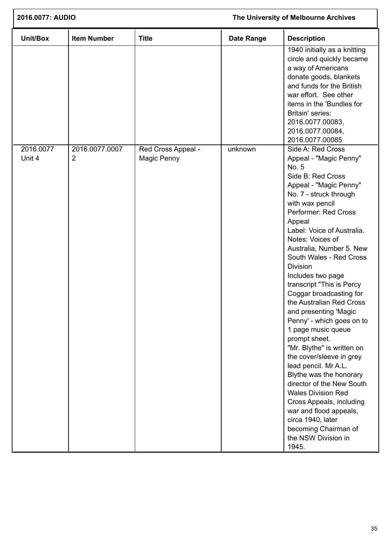| 2016.0077: AUDIO<br>The University of Melbourne Archives |                     |                                   |                   |                                                                                                                                                                                                                                                                                                                                                                                                                                                                                                                                                                                                                                                                                                                                                                                                                         |
|----------------------------------------------------------|---------------------|-----------------------------------|-------------------|-------------------------------------------------------------------------------------------------------------------------------------------------------------------------------------------------------------------------------------------------------------------------------------------------------------------------------------------------------------------------------------------------------------------------------------------------------------------------------------------------------------------------------------------------------------------------------------------------------------------------------------------------------------------------------------------------------------------------------------------------------------------------------------------------------------------------|
| Unit/Box                                                 | <b>Item Number</b>  | <b>Title</b>                      | <b>Date Range</b> | <b>Description</b>                                                                                                                                                                                                                                                                                                                                                                                                                                                                                                                                                                                                                                                                                                                                                                                                      |
|                                                          |                     |                                   |                   | 1940 initially as a knitting<br>circle and quickly became<br>a way of Americans<br>donate goods, blankets<br>and funds for the British<br>war effort. See other<br>items in the 'Bundles for<br>Britain' series:<br>2016.0077.00083,<br>2016.0077.00084,<br>2016.0077.00085                                                                                                                                                                                                                                                                                                                                                                                                                                                                                                                                             |
| 2016.0077<br>Unit 4                                      | 2016.0077.0007<br>2 | Red Cross Appeal -<br>Magic Penny | unknown           | Side A: Red Cross<br>Appeal - "Magic Penny"<br>No. 5<br>Side B: Red Cross<br>Appeal - "Magic Penny"<br>No. 7 - struck through<br>with wax pencil<br>Performer: Red Cross<br>Appeal<br>Label: Voice of Australia.<br>Notes: Voices of<br>Australia, Number 5. New<br>South Wales - Red Cross<br>Division<br>Includes two page<br>transcript "This is Percy<br>Coggar broadcasting for<br>the Australian Red Cross<br>and presenting 'Magic<br>Penny' - which goes on to<br>1 page music queue<br>prompt sheet.<br>"Mr. Blythe" is written on<br>the cover/sleeve in grey<br>lead pencil. Mr A.L.<br>Blythe was the honorary<br>director of the New South<br><b>Wales Division Red</b><br>Cross Appeals, including<br>war and flood appeals,<br>circa 1940, later<br>becoming Chairman of<br>the NSW Division in<br>1945. |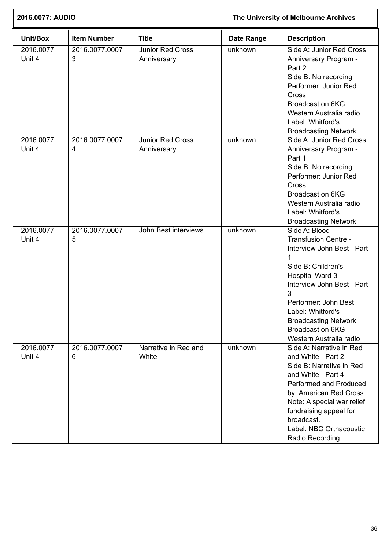| 2016.0077: AUDIO    |                     | The University of Melbourne Archives   |                   |                                                                                                                                                                                                                                                                                          |
|---------------------|---------------------|----------------------------------------|-------------------|------------------------------------------------------------------------------------------------------------------------------------------------------------------------------------------------------------------------------------------------------------------------------------------|
| Unit/Box            | <b>Item Number</b>  | <b>Title</b>                           | <b>Date Range</b> | <b>Description</b>                                                                                                                                                                                                                                                                       |
| 2016.0077<br>Unit 4 | 2016.0077.0007<br>3 | Junior Red Cross<br>Anniversary        | unknown           | Side A: Junior Red Cross<br>Anniversary Program -<br>Part 2<br>Side B: No recording<br>Performer: Junior Red<br>Cross<br>Broadcast on 6KG<br>Western Australia radio<br>Label: Whitford's<br><b>Broadcasting Network</b>                                                                 |
| 2016.0077<br>Unit 4 | 2016.0077.0007<br>4 | <b>Junior Red Cross</b><br>Anniversary | unknown           | Side A: Junior Red Cross<br>Anniversary Program -<br>Part 1<br>Side B: No recording<br>Performer: Junior Red<br>Cross<br>Broadcast on 6KG<br>Western Australia radio<br>Label: Whitford's<br><b>Broadcasting Network</b>                                                                 |
| 2016.0077<br>Unit 4 | 2016.0077.0007<br>5 | John Best interviews                   | unknown           | Side A: Blood<br><b>Transfusion Centre -</b><br>Interview John Best - Part<br>1<br>Side B: Children's<br>Hospital Ward 3 -<br>Interview John Best - Part<br>3<br>Performer: John Best<br>Label: Whitford's<br><b>Broadcasting Network</b><br>Broadcast on 6KG<br>Western Australia radio |
| 2016.0077<br>Unit 4 | 2016.0077.0007<br>6 | Narrative in Red and<br>White          | unknown           | Side A: Narrative in Red<br>and White - Part 2<br>Side B: Narrative in Red<br>and White - Part 4<br>Performed and Produced<br>by: American Red Cross<br>Note: A special war relief<br>fundraising appeal for<br>broadcast.<br>Label: NBC Orthacoustic<br>Radio Recording                 |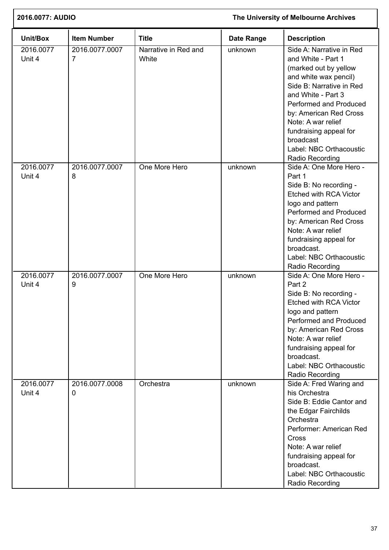| 2016.0077: AUDIO    |                                  |                               | The University of Melbourne Archives |                                                                                                                                                                                                                                                                                                                   |  |
|---------------------|----------------------------------|-------------------------------|--------------------------------------|-------------------------------------------------------------------------------------------------------------------------------------------------------------------------------------------------------------------------------------------------------------------------------------------------------------------|--|
| Unit/Box            | <b>Item Number</b>               | <b>Title</b>                  | <b>Date Range</b>                    | <b>Description</b>                                                                                                                                                                                                                                                                                                |  |
| 2016.0077<br>Unit 4 | 2016.0077.0007<br>$\overline{7}$ | Narrative in Red and<br>White | unknown                              | Side A: Narrative in Red<br>and White - Part 1<br>(marked out by yellow<br>and white wax pencil)<br>Side B: Narrative in Red<br>and White - Part 3<br>Performed and Produced<br>by: American Red Cross<br>Note: A war relief<br>fundraising appeal for<br>broadcast<br>Label: NBC Orthacoustic<br>Radio Recording |  |
| 2016.0077<br>Unit 4 | 2016.0077.0007<br>8              | One More Hero                 | unknown                              | Side A: One More Hero -<br>Part 1<br>Side B: No recording -<br><b>Etched with RCA Victor</b><br>logo and pattern<br>Performed and Produced<br>by: American Red Cross<br>Note: A war relief<br>fundraising appeal for<br>broadcast.<br>Label: NBC Orthacoustic<br>Radio Recording                                  |  |
| 2016.0077<br>Unit 4 | 2016.0077.0007<br>9              | One More Hero                 | unknown                              | Side A: One More Hero -<br>Part 2<br>Side B: No recording -<br><b>Etched with RCA Victor</b><br>logo and pattern<br>Performed and Produced<br>by: American Red Cross<br>Note: A war relief<br>fundraising appeal for<br>broadcast.<br>Label: NBC Orthacoustic<br>Radio Recording                                  |  |
| 2016.0077<br>Unit 4 | 2016.0077.0008<br>0              | Orchestra                     | unknown                              | Side A: Fred Waring and<br>his Orchestra<br>Side B: Eddie Cantor and<br>the Edgar Fairchilds<br>Orchestra<br>Performer: American Red<br>Cross<br>Note: A war relief<br>fundraising appeal for<br>broadcast.<br>Label: NBC Orthacoustic<br>Radio Recording                                                         |  |

ſ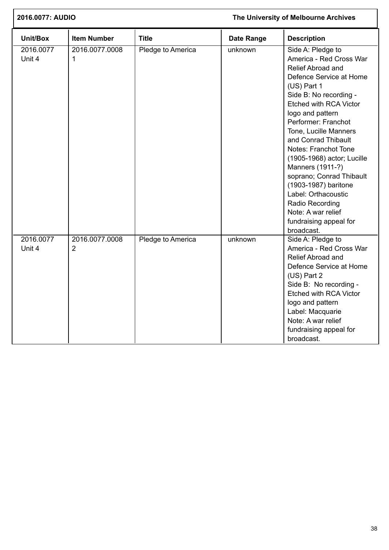| 2016.0077: AUDIO    |                     | The University of Melbourne Archives |                   |                                                                                                                                                                                                                                                                                                                                                                                                                                                                                                  |
|---------------------|---------------------|--------------------------------------|-------------------|--------------------------------------------------------------------------------------------------------------------------------------------------------------------------------------------------------------------------------------------------------------------------------------------------------------------------------------------------------------------------------------------------------------------------------------------------------------------------------------------------|
| Unit/Box            | <b>Item Number</b>  | <b>Title</b>                         | <b>Date Range</b> | <b>Description</b>                                                                                                                                                                                                                                                                                                                                                                                                                                                                               |
| 2016.0077<br>Unit 4 | 2016.0077.0008<br>1 | Pledge to America                    | unknown           | Side A: Pledge to<br>America - Red Cross War<br>Relief Abroad and<br>Defence Service at Home<br>(US) Part 1<br>Side B: No recording -<br>Etched with RCA Victor<br>logo and pattern<br>Performer: Franchot<br>Tone, Lucille Manners<br>and Conrad Thibault<br>Notes: Franchot Tone<br>(1905-1968) actor; Lucille<br>Manners (1911-?)<br>soprano; Conrad Thibault<br>(1903-1987) baritone<br>Label: Orthacoustic<br>Radio Recording<br>Note: A war relief<br>fundraising appeal for<br>broadcast. |
| 2016.0077<br>Unit 4 | 2016.0077.0008<br>2 | Pledge to America                    | unknown           | Side A: Pledge to<br>America - Red Cross War<br>Relief Abroad and<br>Defence Service at Home<br>(US) Part 2<br>Side B: No recording -<br><b>Etched with RCA Victor</b><br>logo and pattern<br>Label: Macquarie<br>Note: A war relief<br>fundraising appeal for<br>broadcast.                                                                                                                                                                                                                     |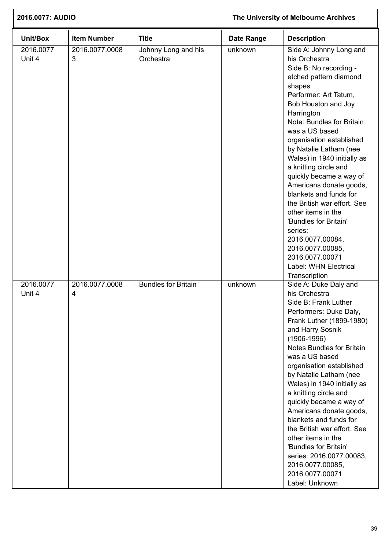| 2016.0077: AUDIO    |                     |                                  |                   | The University of Melbourne Archives                                                                                                                                                                                                                                                                                                                                                                                                                                                                                                                                                                            |  |  |
|---------------------|---------------------|----------------------------------|-------------------|-----------------------------------------------------------------------------------------------------------------------------------------------------------------------------------------------------------------------------------------------------------------------------------------------------------------------------------------------------------------------------------------------------------------------------------------------------------------------------------------------------------------------------------------------------------------------------------------------------------------|--|--|
| Unit/Box            | <b>Item Number</b>  | <b>Title</b>                     | <b>Date Range</b> | <b>Description</b>                                                                                                                                                                                                                                                                                                                                                                                                                                                                                                                                                                                              |  |  |
| 2016.0077<br>Unit 4 | 2016.0077.0008<br>3 | Johnny Long and his<br>Orchestra | unknown           | Side A: Johnny Long and<br>his Orchestra<br>Side B: No recording -<br>etched pattern diamond<br>shapes<br>Performer: Art Tatum,<br>Bob Houston and Joy<br>Harrington<br>Note: Bundles for Britain<br>was a US based<br>organisation established<br>by Natalie Latham (nee<br>Wales) in 1940 initially as<br>a knitting circle and<br>quickly became a way of<br>Americans donate goods,<br>blankets and funds for<br>the British war effort. See<br>other items in the<br>'Bundles for Britain'<br>series:<br>2016.0077.00084,<br>2016.0077.00085,<br>2016.0077.00071<br>Label: WHN Electrical<br>Transcription |  |  |
| 2016.0077<br>Unit 4 | 2016.0077.0008<br>4 | <b>Bundles for Britain</b>       | unknown           | Side A: Duke Daly and<br>his Orchestra<br>Side B: Frank Luther<br>Performers: Duke Daly,<br>Frank Luther (1899-1980)<br>and Harry Sosnik<br>$(1906 - 1996)$<br><b>Notes Bundles for Britain</b><br>was a US based<br>organisation established<br>by Natalie Latham (nee<br>Wales) in 1940 initially as<br>a knitting circle and<br>quickly became a way of<br>Americans donate goods,<br>blankets and funds for<br>the British war effort. See<br>other items in the<br>'Bundles for Britain'<br>series: 2016.0077.00083,<br>2016.0077.00085,<br>2016.0077.00071<br>Label: Unknown                              |  |  |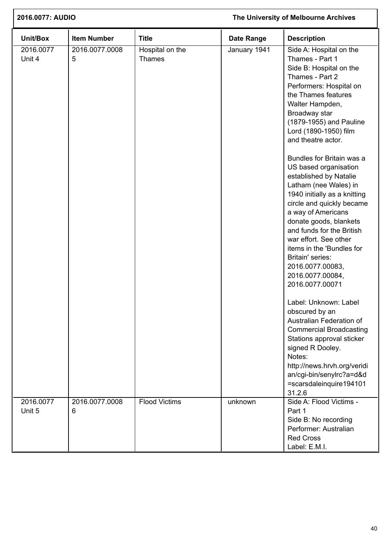| 2016.0077: AUDIO    |                     |                                  |                   | The University of Melbourne Archives                                                                                                                                                                                                                                                                                                                                                                                                                                                                                                                                                                                                                                                                                                                                                                                                                                                                       |  |  |
|---------------------|---------------------|----------------------------------|-------------------|------------------------------------------------------------------------------------------------------------------------------------------------------------------------------------------------------------------------------------------------------------------------------------------------------------------------------------------------------------------------------------------------------------------------------------------------------------------------------------------------------------------------------------------------------------------------------------------------------------------------------------------------------------------------------------------------------------------------------------------------------------------------------------------------------------------------------------------------------------------------------------------------------------|--|--|
| Unit/Box            | <b>Item Number</b>  | <b>Title</b>                     | <b>Date Range</b> | <b>Description</b>                                                                                                                                                                                                                                                                                                                                                                                                                                                                                                                                                                                                                                                                                                                                                                                                                                                                                         |  |  |
| 2016.0077<br>Unit 4 | 2016.0077.0008<br>5 | Hospital on the<br><b>Thames</b> | January 1941      | Side A: Hospital on the<br>Thames - Part 1<br>Side B: Hospital on the<br>Thames - Part 2<br>Performers: Hospital on<br>the Thames features<br>Walter Hampden,<br>Broadway star<br>(1879-1955) and Pauline<br>Lord (1890-1950) film<br>and theatre actor.<br>Bundles for Britain was a<br>US based organisation<br>established by Natalie<br>Latham (nee Wales) in<br>1940 initially as a knitting<br>circle and quickly became<br>a way of Americans<br>donate goods, blankets<br>and funds for the British<br>war effort. See other<br>items in the 'Bundles for<br>Britain' series:<br>2016.0077.00083,<br>2016.0077.00084,<br>2016.0077.00071<br>Label: Unknown: Label<br>obscured by an<br>Australian Federation of<br><b>Commercial Broadcasting</b><br>Stations approval sticker<br>signed R Dooley.<br>Notes:<br>http://news.hrvh.org/veridi<br>an/cgi-bin/senylrc?a=d&d<br>=scarsdaleinquire194101 |  |  |
| 2016.0077<br>Unit 5 | 2016.0077.0008<br>6 | <b>Flood Victims</b>             | unknown           | 31.2.6<br>Side A: Flood Victims -<br>Part 1<br>Side B: No recording<br>Performer: Australian                                                                                                                                                                                                                                                                                                                                                                                                                                                                                                                                                                                                                                                                                                                                                                                                               |  |  |
|                     |                     |                                  |                   | <b>Red Cross</b><br>Label: E.M.I.                                                                                                                                                                                                                                                                                                                                                                                                                                                                                                                                                                                                                                                                                                                                                                                                                                                                          |  |  |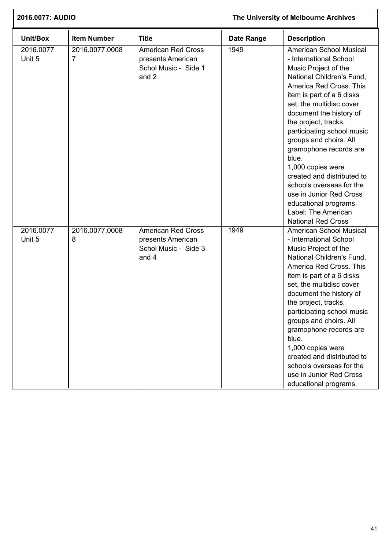| 2016.0077: AUDIO    |                     |                                                                                 | The University of Melbourne Archives |                                                                                                                                                                                                                                                                                                                                                                                                                                                                                                                                 |
|---------------------|---------------------|---------------------------------------------------------------------------------|--------------------------------------|---------------------------------------------------------------------------------------------------------------------------------------------------------------------------------------------------------------------------------------------------------------------------------------------------------------------------------------------------------------------------------------------------------------------------------------------------------------------------------------------------------------------------------|
| Unit/Box            | <b>Item Number</b>  | <b>Title</b>                                                                    | <b>Date Range</b>                    | <b>Description</b>                                                                                                                                                                                                                                                                                                                                                                                                                                                                                                              |
| 2016.0077<br>Unit 5 | 2016.0077.0008<br>7 | <b>American Red Cross</b><br>presents American<br>Schol Music - Side 1<br>and 2 | 1949                                 | American School Musical<br>- International School<br>Music Project of the<br>National Children's Fund,<br>America Red Cross. This<br>item is part of a 6 disks<br>set, the multidisc cover<br>document the history of<br>the project, tracks,<br>participating school music<br>groups and choirs. All<br>gramophone records are<br>blue.<br>1,000 copies were<br>created and distributed to<br>schools overseas for the<br>use in Junior Red Cross<br>educational programs.<br>Label: The American<br><b>National Red Cross</b> |
| 2016.0077<br>Unit 5 | 2016.0077.0008<br>8 | <b>American Red Cross</b><br>presents American<br>Schol Music - Side 3<br>and 4 | 1949                                 | American School Musical<br>- International School<br>Music Project of the<br>National Children's Fund,<br>America Red Cross. This<br>item is part of a 6 disks<br>set, the multidisc cover<br>document the history of<br>the project, tracks,<br>participating school music<br>groups and choirs. All<br>gramophone records are<br>blue.<br>1,000 copies were<br>created and distributed to<br>schools overseas for the<br>use in Junior Red Cross<br>educational programs.                                                     |

ſ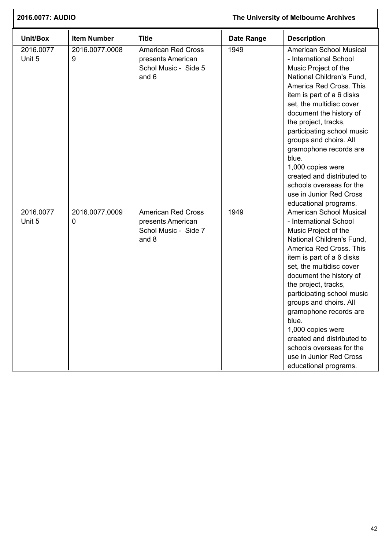| 2016.0077: AUDIO    |                     |                                                                                 | The University of Melbourne Archives |                                                                                                                                                                                                                                                                                                                                                                                                                                                                                    |
|---------------------|---------------------|---------------------------------------------------------------------------------|--------------------------------------|------------------------------------------------------------------------------------------------------------------------------------------------------------------------------------------------------------------------------------------------------------------------------------------------------------------------------------------------------------------------------------------------------------------------------------------------------------------------------------|
| Unit/Box            | <b>Item Number</b>  | <b>Title</b>                                                                    | <b>Date Range</b>                    | <b>Description</b>                                                                                                                                                                                                                                                                                                                                                                                                                                                                 |
| 2016.0077<br>Unit 5 | 2016.0077.0008<br>9 | <b>American Red Cross</b><br>presents American<br>Schol Music - Side 5<br>and 6 | 1949                                 | <b>American School Musical</b><br>- International School<br>Music Project of the<br>National Children's Fund,<br>America Red Cross. This<br>item is part of a 6 disks<br>set, the multidisc cover<br>document the history of<br>the project, tracks,<br>participating school music<br>groups and choirs. All<br>gramophone records are<br>blue.<br>1,000 copies were<br>created and distributed to<br>schools overseas for the<br>use in Junior Red Cross<br>educational programs. |
| 2016.0077<br>Unit 5 | 2016.0077.0009<br>0 | <b>American Red Cross</b><br>presents American<br>Schol Music - Side 7<br>and 8 | 1949                                 | <b>American School Musical</b><br>- International School<br>Music Project of the<br>National Children's Fund,<br>America Red Cross. This<br>item is part of a 6 disks<br>set, the multidisc cover<br>document the history of<br>the project, tracks,<br>participating school music<br>groups and choirs. All<br>gramophone records are<br>blue.<br>1,000 copies were<br>created and distributed to<br>schools overseas for the<br>use in Junior Red Cross<br>educational programs. |

 $\overline{1}$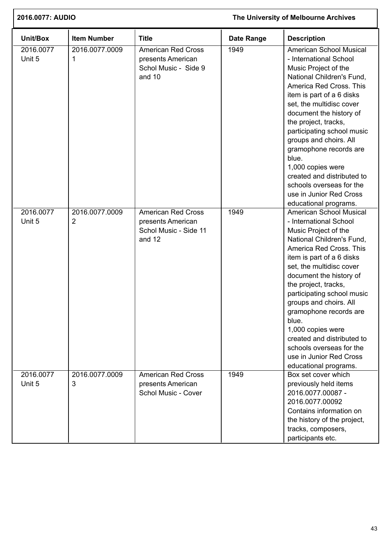| 2016.0077: AUDIO    |                                  | The University of Melbourne Archives                                              |                   |                                                                                                                                                                                                                                                                                                                                                                                                                                                                                    |
|---------------------|----------------------------------|-----------------------------------------------------------------------------------|-------------------|------------------------------------------------------------------------------------------------------------------------------------------------------------------------------------------------------------------------------------------------------------------------------------------------------------------------------------------------------------------------------------------------------------------------------------------------------------------------------------|
| Unit/Box            | <b>Item Number</b>               | <b>Title</b>                                                                      | <b>Date Range</b> | <b>Description</b>                                                                                                                                                                                                                                                                                                                                                                                                                                                                 |
| 2016.0077<br>Unit 5 | 2016.0077.0009<br>1              | <b>American Red Cross</b><br>presents American<br>Schol Music - Side 9<br>and 10  | 1949              | <b>American School Musical</b><br>- International School<br>Music Project of the<br>National Children's Fund,<br>America Red Cross. This<br>item is part of a 6 disks<br>set, the multidisc cover<br>document the history of<br>the project, tracks,<br>participating school music<br>groups and choirs. All<br>gramophone records are<br>blue.<br>1,000 copies were<br>created and distributed to<br>schools overseas for the<br>use in Junior Red Cross<br>educational programs. |
| 2016.0077<br>Unit 5 | 2016.0077.0009<br>$\overline{2}$ | <b>American Red Cross</b><br>presents American<br>Schol Music - Side 11<br>and 12 | 1949              | <b>American School Musical</b><br>- International School<br>Music Project of the<br>National Children's Fund,<br>America Red Cross. This<br>item is part of a 6 disks<br>set, the multidisc cover<br>document the history of<br>the project, tracks,<br>participating school music<br>groups and choirs. All<br>gramophone records are<br>blue.<br>1,000 copies were<br>created and distributed to<br>schools overseas for the<br>use in Junior Red Cross<br>educational programs. |
| 2016.0077<br>Unit 5 | 2016.0077.0009<br>3              | <b>American Red Cross</b><br>presents American<br>Schol Music - Cover             | 1949              | Box set cover which<br>previously held items<br>2016.0077.00087 -<br>2016.0077.00092<br>Contains information on<br>the history of the project,<br>tracks, composers,<br>participants etc.                                                                                                                                                                                                                                                                                          |

 $\overline{1}$ 

Ī.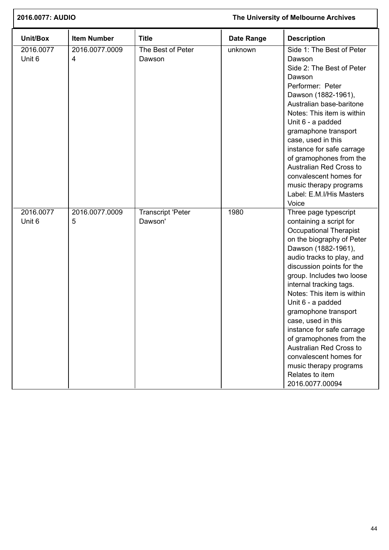| 2016.0077: AUDIO    |                                  |                                     | The University of Melbourne Archives |                                                                                                                                                                                                                                                                                                                                                                                                                                                                                                                                       |  |
|---------------------|----------------------------------|-------------------------------------|--------------------------------------|---------------------------------------------------------------------------------------------------------------------------------------------------------------------------------------------------------------------------------------------------------------------------------------------------------------------------------------------------------------------------------------------------------------------------------------------------------------------------------------------------------------------------------------|--|
| Unit/Box            | <b>Item Number</b>               | <b>Title</b>                        | <b>Date Range</b>                    | <b>Description</b>                                                                                                                                                                                                                                                                                                                                                                                                                                                                                                                    |  |
| 2016.0077<br>Unit 6 | 2016.0077.0009<br>$\overline{4}$ | The Best of Peter<br>Dawson         | unknown                              | Side 1: The Best of Peter<br>Dawson<br>Side 2: The Best of Peter<br>Dawson<br>Performer: Peter<br>Dawson (1882-1961),<br>Australian base-baritone<br>Notes: This item is within<br>Unit 6 - a padded<br>gramaphone transport<br>case, used in this<br>instance for safe carrage<br>of gramophones from the<br>Australian Red Cross to<br>convalescent homes for<br>music therapy programs<br>Label: E.M.I/His Masters<br>Voice                                                                                                        |  |
| 2016.0077<br>Unit 6 | 2016.0077.0009<br>5              | <b>Transcript 'Peter</b><br>Dawson' | 1980                                 | Three page typescript<br>containing a script for<br><b>Occupational Therapist</b><br>on the biography of Peter<br>Dawson (1882-1961),<br>audio tracks to play, and<br>discussion points for the<br>group. Includes two loose<br>internal tracking tags.<br>Notes: This item is within<br>Unit 6 - a padded<br>gramophone transport<br>case, used in this<br>instance for safe carrage<br>of gramophones from the<br>Australian Red Cross to<br>convalescent homes for<br>music therapy programs<br>Relates to item<br>2016.0077.00094 |  |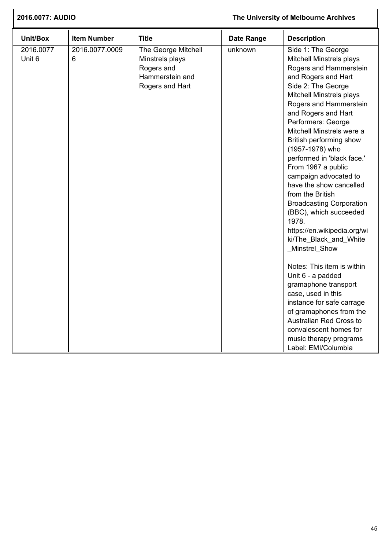| 2016.0077: AUDIO    |                     |                                                                                            | The University of Melbourne Archives |                                                                                                                                                                                                                                                                                                                                                                                                                                                                                                                                                                                                                                                                                                                                                                                                                                                |  |
|---------------------|---------------------|--------------------------------------------------------------------------------------------|--------------------------------------|------------------------------------------------------------------------------------------------------------------------------------------------------------------------------------------------------------------------------------------------------------------------------------------------------------------------------------------------------------------------------------------------------------------------------------------------------------------------------------------------------------------------------------------------------------------------------------------------------------------------------------------------------------------------------------------------------------------------------------------------------------------------------------------------------------------------------------------------|--|
| Unit/Box            | <b>Item Number</b>  | <b>Title</b>                                                                               | <b>Date Range</b>                    | <b>Description</b>                                                                                                                                                                                                                                                                                                                                                                                                                                                                                                                                                                                                                                                                                                                                                                                                                             |  |
| 2016.0077<br>Unit 6 | 2016.0077.0009<br>6 | The George Mitchell<br>Minstrels plays<br>Rogers and<br>Hammerstein and<br>Rogers and Hart | unknown                              | Side 1: The George<br>Mitchell Minstrels plays<br>Rogers and Hammerstein<br>and Rogers and Hart<br>Side 2: The George<br>Mitchell Minstrels plays<br>Rogers and Hammerstein<br>and Rogers and Hart<br>Performers: George<br>Mitchell Minstrels were a<br>British performing show<br>(1957-1978) who<br>performed in 'black face.'<br>From 1967 a public<br>campaign advocated to<br>have the show cancelled<br>from the British<br><b>Broadcasting Corporation</b><br>(BBC), which succeeded<br>1978.<br>https://en.wikipedia.org/wi<br>ki/The_Black_and_White<br>Minstrel_Show<br>Notes: This item is within<br>Unit 6 - a padded<br>gramaphone transport<br>case, used in this<br>instance for safe carrage<br>of gramaphones from the<br>Australian Red Cross to<br>convalescent homes for<br>music therapy programs<br>Label: EMI/Columbia |  |